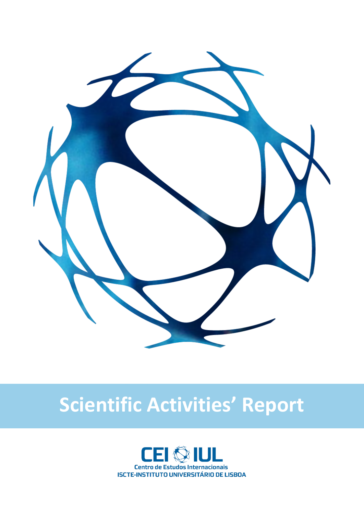

# **Scientific Activities' Report**

**2017**

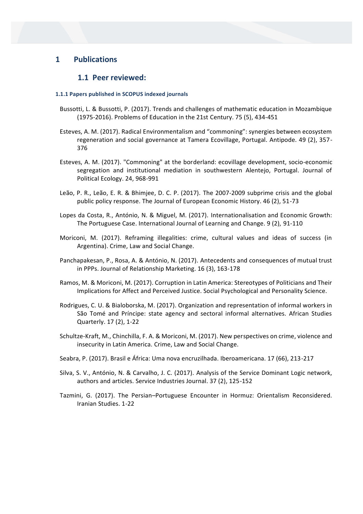# **1 Publications**

# **1.1 Peer reviewed:**

#### **1.1.1 Papers published in SCOPUS indexed journals**

- Bussotti, L. & Bussotti, P. (2017). Trends and challenges of mathematic education in Mozambique (1975-2016). Problems of Education in the 21st Century. 75 (5), 434-451
- Esteves, A. M. (2017). Radical Environmentalism and "commoning": synergies between ecosystem regeneration and social governance at Tamera Ecovillage, Portugal. Antipode. 49 (2), 357- 376
- Esteves, A. M. (2017). "Commoning" at the borderland: ecovillage development, socio-economic segregation and institutional mediation in southwestern Alentejo, Portugal. Journal of Political Ecology. 24, 968-991
- Leão, P. R., Leão, E. R. & Bhimjee, D. C. P. (2017). The 2007-2009 subprime crisis and the global public policy response. The Journal of European Economic History. 46 (2), 51-73
- Lopes da Costa, R., António, N. & Miguel, M. (2017). Internationalisation and Economic Growth: The Portuguese Case. International Journal of Learning and Change. 9 (2), 91-110
- Moriconi, M. (2017). Reframing illegalities: crime, cultural values and ideas of success (in Argentina). Crime, Law and Social Change.
- Panchapakesan, P., Rosa, A. & António, N. (2017). Antecedents and consequences of mutual trust in PPPs. Journal of Relationship Marketing. 16 (3), 163-178
- Ramos, M. & Moriconi, M. (2017). Corruption in Latin America: Stereotypes of Politicians and Their Implications for Affect and Perceived Justice. Social Psychological and Personality Science.
- Rodrigues, C. U. & Bialoborska, M. (2017). Organization and representation of informal workers in São Tomé and Príncipe: state agency and sectoral informal alternatives. African Studies Quarterly. 17 (2), 1-22
- Schultze-Kraft, M., Chinchilla, F. A. & Moriconi, M. (2017). New perspectives on crime, violence and insecurity in Latin America. Crime, Law and Social Change.
- Seabra, P. (2017). Brasil e África: Uma nova encruzilhada. Iberoamericana. 17 (66), 213-217
- Silva, S. V., António, N. & Carvalho, J. C. (2017). Analysis of the Service Dominant Logic network, authors and articles. Service Industries Journal. 37 (2), 125-152
- Tazmini, G. (2017). The Persian–Portuguese Encounter in Hormuz: Orientalism Reconsidered. Iranian Studies. 1-22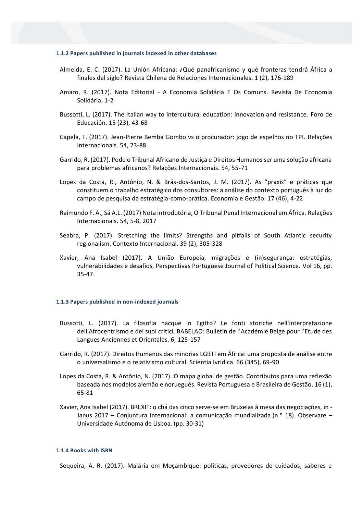#### **1.1.2 Papers published in journals indexed in other databases**

- Almeida, E. C. (2017). La Unión Africana: ¿Qué panafricanismo y qué fronteras tendrá África a finales del siglo? Revista Chilena de Relaciones Internacionales. 1 (2), 176-189
- Amaro, R. (2017). Nota Editorial A Economia Solidária E Os Comuns. Revista De Economia Solidária. 1-2
- Bussotti, L. (2017). The Italian way to intercultural education: innovation and resistance. Foro de Educación. 15 (23), 43-68
- Capela, F. (2017). Jean-Pierre Bemba Gombo vs o procurador: jogo de espelhos no TPI. Relações Internacionais. 54, 73-88
- Garrido, R. (2017). Pode o Tribunal Africano de Justiça e Direitos Humanos ser uma solução africana para problemas africanos? Relações Internacionais. 54, 55-71
- Lopes da Costa, R., António, N. & Brás-dos-Santos, J. M. (2017). As "praxis" e práticas que constituem o trabalho estratégico dos consultores: a análise do contexto português à luz do campo de pesquisa da estratégia-como-prática. Economia e Gestão. 17 (46), 4-22
- Raimundo F. A., Sá A.L. (2017) Nota introdutória, O Tribunal Penal Internacional em África. Relações Internacionais. 54, 5-8, 2017
- Seabra, P. (2017). Stretching the limits? Strengths and pitfalls of South Atlantic security regionalism. Contexto Internacional. 39 (2), 305-328
- Xavier, Ana Isabel (2017). A União Europeia, migrações e (in)segurança: estratégias, vulnerabilidades e desafios, Perspectivas Portuguese Journal of Political Science. Vol 16, pp. 35-47.

#### **1.1.3 Papers published in non-indexed journals**

- Bussotti, L. (2017). La filosofia nacque in Egitto? Le fonti storiche nell'interpretazione dell'Afrocentrismo e dei suoi critici. BABELAO: Bulletin de l'Académie Belge pour l'Etude des Langues Anciennes et Orientales. 6, 125-157
- Garrido, R. (2017). Direitos Humanos das minorias LGBTI em África: uma proposta de análise entre o universalismo e o relativismo cultural. Scientia Ivridica. 66 (345), 69-90
- Lopes da Costa, R. & António, N. (2017). O mapa global de gestão. Contributos para uma reflexão baseada nos modelos alemão e norueguês. Revista Portuguesa e Brasileira de Gestão. 16 (1), 65-81
- Xavier, Ana Isabel (2017). BREXIT: o chá das cinco serve-se em Bruxelas à mesa das negociações, in Janus 2017 – Conjuntura Internacional: a comunicação mundializada.(n.º 18). Observare – Universidade Autónoma de Lisboa. (pp. 30-31)

#### **1.1.4 Books with ISBN**

Sequeira, A. R. (2017). Malária em Moçambique: políticas, provedores de cuidados, saberes e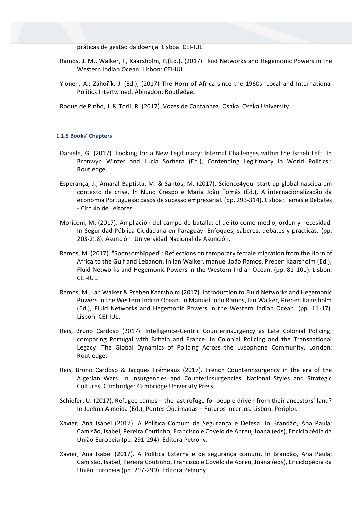práticas de gestão da doença. Lisboa. CEI-IUL.

- Ramos, J. M., Walker, I., Kaarsholm, P.(Ed.), (2017) Fluid Networks and Hegemonic Powers in the Western Indian Ocean. Lisbon: CEI-IUL.
- Ylönen, A.; Záhořík, J. (Ed.), (2017) The Horn of Africa since the 1960s: Local and International Politics Intertwined. Abingdon: Routledge.

Roque de Pinho, J. & Torii, R. (2017). Vozes de Cantanhez. Osaka. Osaka University.

#### **1.1.5 Books' Chapters**

- Daniele, G. (2017). Looking for a New Legitimacy: Internal Challenges within the Israeli Left. In Bronwyn Winter and Lucia Sorbera (Ed.), Contending Legitimacy in World Politics.: Routledge.
- Esperança, J., Amaral-Baptista, M. & Santos, M. (2017). Science4you: start-up global nascida em contexto de crise. In Nuno Crespo e Maria João Tomás (Ed.), A internacionalização da economia Portuguesa: casos de sucesso empresarial. (pp. 293-314). Lisboa: Temas e Debates - Círculo de Leitores.
- Moriconi, M. (2017). Ampliación del campo de batalla: el delito como medio, orden y necesidad. In Seguridad Pública Ciudadana en Paraguay: Enfoques, saberes, debates y prácticas. (pp. 203-218). Asunción: Universidad Nacional de Asunción.
- Ramos, M. (2017). "Sponsorshipped": Reflections on temporary female migration from the Horn of Africa to the Gulf and Lebanon. In Ian Walker, manuel João Ramos, Preben Kaarsholm (Ed.), Fluid Networks and Hegemonic Powers in the Western Indian Ocean. (pp. 81-101). Lisbon: CEI-IUL.
- Ramos, M., Ian Walker & Preben Kaarsholm (2017). Introduction to Fluid Networks and Hegemonic Powers in the Western Indian Ocean. In Manuel João Ramos, Ian Walker, Preben Kaarsholm (Ed.), Fluid Networks and Hegemonic Powers in the Western Indian Ocean. (pp. 11-17). Lisbon: CEI-IUL.
- Reis, Bruno Cardoso (2017). Intelligence-Centric Counterinsurgency as Late Colonial Policing: comparing Portugal with Britain and France. In Colonial Policing and the Transnational Legacy: The Global Dynamics of Policing Across the Lusophone Community. London: Routledge.
- Reis, Bruno Cardoso & Jacques Frémeaux (2017). French Counterinsurgency in the era of the Algerian Wars. In Insurgencies and Counterinsurgencies: National Styles and Strategic Cultures. Cambridge: Cambridge University Press.
- Schiefer, U. (2017). Refugee camps the last refuge for people driven from their ancestors' land? In Joelma Almeida (Ed.), Pontes Queimadas – Futuros Incertos. Lisbon: Periploi.
- Xavier, Ana Isabel (2017). A Política Comum de Segurança e Defesa. In Brandão, Ana Paula; Camisão, Isabel; Pereira Coutinho, Francisco e Covelo de Abreu, Joana (eds), Enciclopédia da União Europeia (pp. 291-294). Editora Petrony.
- Xavier, Ana Isabel (2017). A Política Externa e de segurança comum. In Brandão, Ana Paula; Camisão, Isabel; Pereira Coutinho, Francisco e Covelo de Abreu, Joana (eds), Enciclopédia da União Europeia (pp. 297-299). Editora Petrony.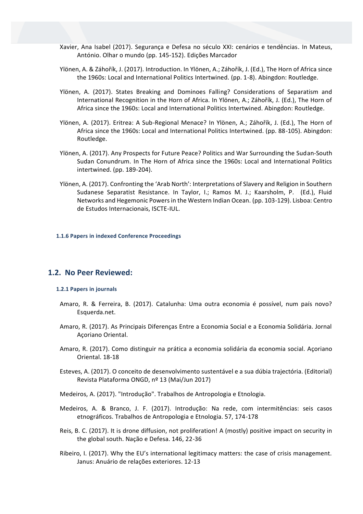- Xavier, Ana Isabel (2017). Segurança e Defesa no século XXI: cenários e tendências. In Mateus, António. Olhar o mundo (pp. 145-152). Edições Marcador
- Ylönen, A. & Záhořík, J. (2017). Introduction. In Ylönen, A.; Záhořík, J. (Ed.), The Horn of Africa since the 1960s: Local and International Politics Intertwined. (pp. 1-8). Abingdon: Routledge.
- Ylönen, A. (2017). States Breaking and Dominoes Falling? Considerations of Separatism and International Recognition in the Horn of Africa. In Ylönen, A.; Záhořík, J. (Ed.), The Horn of Africa since the 1960s: Local and International Politics Intertwined. Abingdon: Routledge.
- Ylönen, A. (2017). Eritrea: A Sub-Regional Menace? In Ylönen, A.; Záhořík, J. (Ed.), The Horn of Africa since the 1960s: Local and International Politics Intertwined. (pp. 88-105). Abingdon: Routledge.
- Ylönen, A. (2017). Any Prospects for Future Peace? Politics and War Surrounding the Sudan-South Sudan Conundrum. In The Horn of Africa since the 1960s: Local and International Politics intertwined. (pp. 189-204).
- Ylönen, A. (2017). Confronting the 'Arab North': Interpretations of Slavery and Religion in Southern Sudanese Separatist Resistance. In Taylor, I.; Ramos M. J.; Kaarsholm, P. (Ed.), Fluid Networks and Hegemonic Powers in the Western Indian Ocean. (pp. 103-129). Lisboa: Centro de Estudos Internacionais, ISCTE-IUL.

#### **1.1.6 Papers in indexed Conference Proceedings**

# **1.2. No Peer Reviewed:**

#### **1.2.1 Papers in journals**

- Amaro, R. & Ferreira, B. (2017). Catalunha: Uma outra economia é possível, num país novo? Esquerda.net.
- Amaro, R. (2017). As Principais Diferenças Entre a Economia Social e a Economia Solidária. Jornal Açoriano Oriental.
- Amaro, R. (2017). Como distinguir na prática a economia solidária da economia social. Açoriano Oriental. 18-18
- Esteves, A. (2017). O conceito de desenvolvimento sustentável e a sua dúbia trajectória. (Editorial) Revista Plataforma ONGD, nº 13 (Mai/Jun 2017)
- Medeiros, A. (2017). "Introdução". Trabalhos de Antropologia e Etnologia.
- Medeiros, A. & Branco, J. F. (2017). Introdução: Na rede, com intermitências: seis casos etnográficos. Trabalhos de Antropologia e Etnologia. 57, 174-178
- Reis, B. C. (2017). It is drone diffusion, not proliferation! A (mostly) positive impact on security in the global south. Nação e Defesa. 146, 22-36
- Ribeiro, I. (2017). Why the EU's international legitimacy matters: the case of crisis management. Janus: Anuário de relações exteriores. 12-13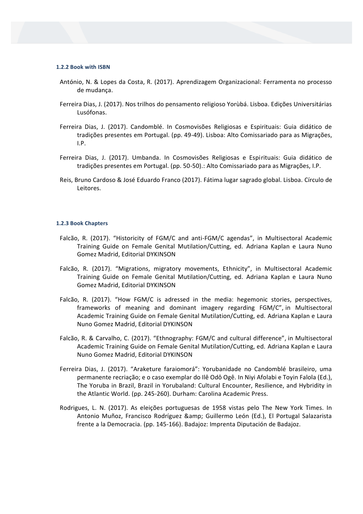#### **1.2.2 Book with ISBN**

- António, N. & Lopes da Costa, R. (2017). Aprendizagem Organizacional: Ferramenta no processo de mudança.
- Ferreira Dias, J. (2017). Nos trilhos do pensamento religioso Yorùbá. Lisboa. Edições Universitárias Lusófonas.
- Ferreira Dias, J. (2017). Candomblé. In Cosmovisões Religiosas e Espirituais: Guia didático de tradições presentes em Portugal. (pp. 49-49). Lisboa: Alto Comissariado para as Migrações, I.P.
- Ferreira Dias, J. (2017). Umbanda. In Cosmovisões Religiosas e Espirituais: Guia didático de tradições presentes em Portugal. (pp. 50-50).: Alto Comissariado para as Migrações, I.P.
- Reis, Bruno Cardoso & José Eduardo Franco (2017). Fátima lugar sagrado global. Lisboa. Círculo de Leitores.

#### **1.2.3 Book Chapters**

- Falcão, R. (2017). "Historicity of FGM/C and anti-FGM/C agendas", in Multisectoral Academic Training Guide on Female Genital Mutilation/Cutting, ed. Adriana Kaplan e Laura Nuno Gomez Madrid, Editorial DYKINSON
- Falcão, R. (2017). "Migrations, migratory movements, Ethnicity", in Multisectoral Academic Training Guide on Female Genital Mutilation/Cutting, ed. Adriana Kaplan e Laura Nuno Gomez Madrid, Editorial DYKINSON
- Falcão, R. (2017). "How FGM/C is adressed in the media: hegemonic stories, perspectives, frameworks of meaning and dominant imagery regarding FGM/C", in Multisectoral Academic Training Guide on Female Genital Mutilation/Cutting, ed. Adriana Kaplan e Laura Nuno Gomez Madrid, Editorial DYKINSON
- Falcão, R. & Carvalho, C. (2017). "Ethnography: FGM/C and cultural difference", in Multisectoral Academic Training Guide on Female Genital Mutilation/Cutting, ed. Adriana Kaplan e Laura Nuno Gomez Madrid, Editorial DYKINSON
- Ferreira Dias, J. (2017). "Araketure faraiomorá": Yorubanidade no Candomblé brasileiro, uma permanente recriação; e o caso exemplar do Ilê Odô Ogê. In Niyi Afolabi e Toyin Falola (Ed.), The Yoruba in Brazil, Brazil in Yorubaland: Cultural Encounter, Resilience, and Hybridity in the Atlantic World. (pp. 245-260). Durham: Carolina Academic Press.
- Rodrigues, L. N. (2017). As eleições portuguesas de 1958 vistas pelo The New York Times. In Antonio Muñoz, Francisco Rodríguez & Guillermo León (Ed.), El Portugal Salazarista frente a la Democracia. (pp. 145-166). Badajoz: Imprenta Diputación de Badajoz.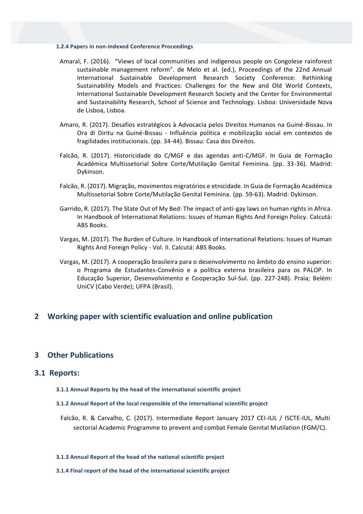#### **1.2.4 Papers in non-indexed Conference Proceedings**

- Amaral, F. (2016). "Views of local communities and indigenous people on Congolese rainforest sustainable management reform". de Melo et al. (ed.), Proceedings of the 22nd Annual International Sustainable Development Research Society Conference: Rethinking Sustainability Models and Practices: Challenges for the New and Old World Contexts, International Sustainable Development Research Society and the Center for Environmental and Sustainability Research, School of Science and Technology. Lisboa: Universidade Nova de Lisboa, Lisboa.
- Amaro, R. (2017). Desafios estratégicos à Advocacia pelos Direitos Humanos na Guiné-Bissau. In Ora di Diritu na Guiné-Bissau - Influência política e mobilização social em contextos de fragilidades institucionais. (pp. 34-44). Bissau: Casa dos Direitos.
- Falcão, R. (2017). Historicidade do C/MGF e das agendas anti-C/MGF. In Guia de Formação Académica Multissetorial Sobre Corte/Mutilação Genital Feminina. (pp. 33-36). Madrid: Dykinson.
- Falcão, R. (2017). Migração, movimentos migratórios e etnicidade. In Guia de Formação Académica Multissetorial Sobre Corte/Mutilação Genital Feminina. (pp. 59-63). Madrid: Dykinson.
- Garrido, R. (2017). The State Out of My Bed: The impact of anti-gay laws on human rights in Africa. In Handbook of International Relations: Issues of Human Rights And Foreign Policy. Calcutá: ABS Books.
- Vargas, M. (2017). The Burden of Culture. In Handbook of International Relations: Issues of Human Rights And Foreign Policy - Vol. II. Calcutá: ABS Books.
- Vargas, M. (2017). A cooperação brasileira para o desenvolvimento no âmbito do ensino superior: o Programa de Estudantes-Convênio e a política externa brasileira para os PALOP. In Educação Superior, Desenvolvimento e Cooperação Sul-Sul. (pp. 227-248). Praia; Belém: UniCV (Cabo Verde); UFPA (Brasil).

# **2 Working paper with scientific evaluation and online publication**

# **3 Other Publications**

#### **3.1 Reports:**

**3.1.1 Annual Reports by the head of the international scientific project**

#### **3.1.2 Annual Report of the local responsible of the international scientific project**

Falcão, R. & Carvalho, C. (2017). Intermediate Report January 2017 CEI-IUL / ISCTE-IUL, Multi sectorial Academic Programme to prevent and combat Female Genital Mutilation (FGM/C).

#### **3.1.3 Annual Report of the head of the national scientific project**

**3.1.4 Final report of the head of the international scientific project**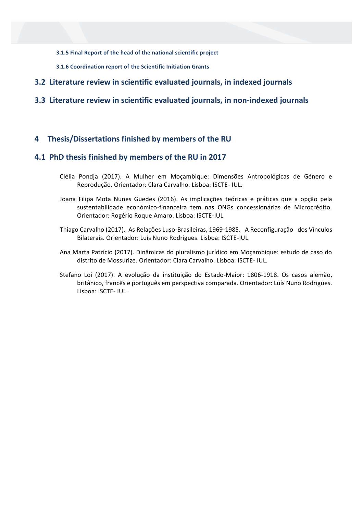**3.1.5 Final Report of the head of the national scientific project**

- **3.1.6 Coordination report of the Scientific Initiation Grants**
- **3.2 Literature review in scientific evaluated journals, in indexed journals**

# **3.3 Literature review in scientific evaluated journals, in non-indexed journals**

# **4 Thesis/Dissertations finished by members of the RU**

# **4.1 PhD thesis finished by members of the RU in 2017**

- Clélia Pondja (2017). A Mulher em Moçambique: Dimensões Antropológicas de Género e Reprodução. Orientador: Clara Carvalho. Lisboa: ISCTE- IUL.
- Joana Filipa Mota Nunes Guedes (2016). As implicações teóricas e práticas que a opção pela sustentabilidade económico-financeira tem nas ONGs concessionárias de Microcrédito. Orientador: Rogério Roque Amaro. Lisboa: ISCTE-IUL.
- Thiago Carvalho (2017). As Relações Luso-Brasileiras, 1969-1985. A Reconfiguração dos Vínculos Bilaterais. Orientador: Luís Nuno Rodrigues. Lisboa: ISCTE-IUL.
- Ana Marta Patrício (2017). Dinâmicas do pluralismo jurídico em Moçambique: estudo de caso do distrito de Mossurize. Orientador: Clara Carvalho. Lisboa: ISCTE- IUL.
- Stefano Loi (2017). A evolução da instituição do Estado-Maior: 1806-1918. Os casos alemão, britânico, francês e português em perspectiva comparada. Orientador: Luís Nuno Rodrigues. Lisboa: ISCTE- IUL.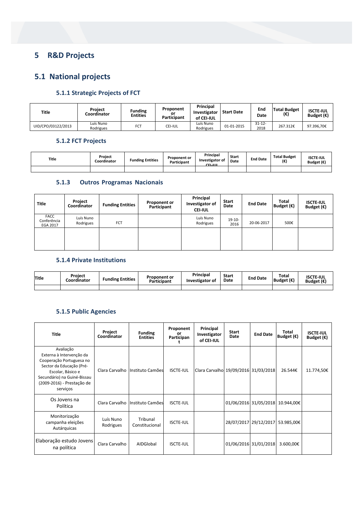# **5 R&D Projects**

# **5.1 National projects**

# **5.1.1 Strategic Projects of FCT**

| <b>Title</b>       | Project<br>Coordinator | <b>Funding</b><br><b>Entities</b> | Proponent<br>or<br>Participant | Principal<br>Investigator<br>of CEI-IUL | <b>Start Date</b> | End<br>Date         | <b>Total Budget</b><br>(€) | <b>ISCTE IUL</b><br>Budget $(\epsilon)$ |
|--------------------|------------------------|-----------------------------------|--------------------------------|-----------------------------------------|-------------------|---------------------|----------------------------|-----------------------------------------|
| UID/CPO/03122/2013 | Luís Nuno<br>Rodrigues | <b>FCT</b>                        | CEI-IUL                        | Luís Nuno<br>Rodrigues                  | 01-01-2015        | $31 - 12 -$<br>2018 | 267.312€                   | 97.396.70€                              |

## **5.1.2 FCT Projects**

| Title | Project<br>Coordinator | <b>Funding Entities</b> | Proponent or<br>Participant | Principal<br>Investigator of<br>CEL ILIL | Start<br>Date | <b>End Date</b> | <b>Total Budget</b><br>(€) | <b>ISCTE-IUL</b><br>Budget $(\epsilon)$ |
|-------|------------------------|-------------------------|-----------------------------|------------------------------------------|---------------|-----------------|----------------------------|-----------------------------------------|
|       |                        |                         |                             |                                          |               |                 |                            |                                         |

## **5.1.3 Outros Programas Nacionais**

| <b>Title</b>                    | <b>Project</b><br>Coordinator | <b>Funding Entities</b> | Proponent or<br>Participant | Principal<br>Investigator of<br><b>CEI-IUL</b> | <b>Start</b><br>Date | <b>End Date</b> | <b>Total</b><br>Budget $(\epsilon)$ | <b>ISCTE-IUL</b><br>Budget $(\epsilon)$ |
|---------------------------------|-------------------------------|-------------------------|-----------------------------|------------------------------------------------|----------------------|-----------------|-------------------------------------|-----------------------------------------|
| FACC<br>Conferência<br>EGA 2017 | Luís Nuno<br>Rodrigues        | <b>FCT</b>              |                             | Luís Nuno<br>Rodrigues                         | $19-10-$<br>2016     | 20-06-2017      | 500€                                |                                         |
|                                 |                               |                         |                             |                                                |                      |                 |                                     |                                         |

## **5.1.4 Private Institutions**

| Title | Proiect<br>Coordinator | <b>Funding Entities</b> | <b>Proponent or</b><br>Participant | Principal<br>Investigator of | <b>Start</b><br>Date | <b>End Date</b> | Total<br>Budget $(\epsilon)$ | <b>ISCTE-IUL</b><br>Budget $(\epsilon)$ |
|-------|------------------------|-------------------------|------------------------------------|------------------------------|----------------------|-----------------|------------------------------|-----------------------------------------|
|       |                        |                         |                                    |                              |                      |                 |                              |                                         |

# **5.1.5 Public Agencies**

| <b>Title</b>                                                                                                                                                                                | Project<br>Coordinator | <b>Funding</b><br><b>Entities</b> | Proponent<br>or<br>Participan | Principal<br>Investigator<br>of CEI-IUL | <b>Start</b><br>Date | <b>End Date</b>                  | Total<br>Budget $(\epsilon)$ | <b>ISCTE-IUL</b><br>Budget $(\epsilon)$ |
|---------------------------------------------------------------------------------------------------------------------------------------------------------------------------------------------|------------------------|-----------------------------------|-------------------------------|-----------------------------------------|----------------------|----------------------------------|------------------------------|-----------------------------------------|
| Avaliação<br>Externa à Intervenção da<br>Cooperação Portuguesa no<br>Sector da Educação (Pré-<br>Escolar, Básico e<br>Secundário) na Guiné-Bissau<br>(2009-2016) - Prestação de<br>serviços | Clara Carvalho         | Instituto Camões                  | <b>ISCTE-IUL</b>              | Clara Carvalho 19/09/2016 31/03/2018    |                      |                                  | 26.544€                      | 11.774,50€                              |
| Os Jovens na<br>Política                                                                                                                                                                    | Clara Carvalho         | Instituto Camões                  | <b>ISCTE-IUL</b>              |                                         |                      | 01/06/2016 31/05/2018 10.944,00€ |                              |                                         |
| Monitorização<br>campanha eleições<br>Autárquicas                                                                                                                                           | Luís Nuno<br>Rodrigues | Tribunal<br>Constitucional        | <b>ISCTE-IUL</b>              |                                         |                      | 28/07/2017 29/12/2017            | 53.985,00€                   |                                         |
| Elaboração estudo Jovens<br>na política                                                                                                                                                     | Clara Carvalho         | AIDGlobal                         | <b>ISCTE-IUL</b>              |                                         |                      | 01/06/2016 31/01/2018            | 3.600,00€                    |                                         |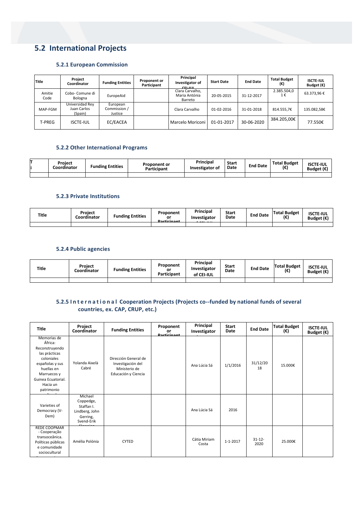# **5.2 International Projects**

#### **5.2.1 European Commission**

| Title          | Project<br>Coordinator                    | <b>Funding Entities</b>             | Proponent or<br>Participant | Principal<br>Investigator of<br>CELUIL.     | <b>Start Date</b> | <b>End Date</b> | <b>Total Budget</b><br>(€) | <b>ISCTE-IUL</b><br>Budget $(\epsilon)$ |
|----------------|-------------------------------------------|-------------------------------------|-----------------------------|---------------------------------------------|-------------------|-----------------|----------------------------|-----------------------------------------|
| Amitie<br>Code | Cobo- Comune di<br>Bologna                | EuropeAid                           |                             | Clara Carvalho,<br>Maria Antónia<br>Barreto | 20-05-2015        | 31-12-2017      | 2.385.504,0<br>1€          | 63.373,96€                              |
| MAP-FGM        | Universidad Rev<br>Juan Carlos<br>(Spain) | European<br>Commission /<br>Justice |                             | Clara Carvalho                              | $01 - 02 - 2016$  | 31-01-2018      | 814.555,7€                 | 135.082,58€                             |
| T-PREG         | <b>ISCTE-IUL</b>                          | EC/EACEA                            |                             | Marcelo Moriconi                            | 01-01-2017        | 30-06-2020      | 384.205,00€                | 77.550€                                 |

#### **5.2.2 Other International Programs**

| Project<br>Coordinator | <b>Funding Entities</b> | <b>Proponent or</b><br>Participant | Principal<br>Investigator of | Start<br>Date | <b>End Date</b> | <b>Total Budget</b><br>.€ | <b>ISCTE-IUL</b><br>Budget $(\epsilon)$ |
|------------------------|-------------------------|------------------------------------|------------------------------|---------------|-----------------|---------------------------|-----------------------------------------|
|                        |                         |                                    |                              |               |                 |                           |                                         |

#### **5.2.3 Private Institutions**

| Title | Project<br>Coordinator | <b>Funding Entities</b> | Proponent<br>or<br><b>Dorticinont</b> | Principal<br>Investigator | <b>Start</b><br>Date | <b>End Date</b> | <b>Total Budget</b><br>(€) | <b>ISCTE-IUL</b><br>Budget $(\epsilon)$ |
|-------|------------------------|-------------------------|---------------------------------------|---------------------------|----------------------|-----------------|----------------------------|-----------------------------------------|
|       |                        |                         |                                       |                           |                      |                 |                            |                                         |

#### **5.2.4 Public agencies**

| Title | <b>Project</b><br>.cordinator | <b>Funding Entities</b> | Proponent<br>or<br>Participant | Principal<br>Investigator<br>of CEI-IUL | Start<br>Date | <b>End Date</b> | <b>Total Budget</b><br>(€) | <b>ISCTE-IUL</b><br>Budget $(\epsilon)$ |
|-------|-------------------------------|-------------------------|--------------------------------|-----------------------------------------|---------------|-----------------|----------------------------|-----------------------------------------|
|       |                               |                         |                                |                                         |               |                 |                            |                                         |

#### **5.2.5 I n t e r n a t i o n a l Cooperation Projects (Projects co-‐funded by national funds of several countries, ex. CAP, CRUP, etc.)**

| <b>Title</b>                                                                                                                                                            | Project<br>Coordinator                                                         | <b>Funding Entities</b>                                                           | Proponent<br>or<br><b>Dorticinont</b> | Principal<br>Investigator | <b>Start</b><br>Date | <b>End Date</b>   | <b>Total Budget</b><br>(€) | <b>ISCTE-IUL</b><br>Budget $(\epsilon)$ |
|-------------------------------------------------------------------------------------------------------------------------------------------------------------------------|--------------------------------------------------------------------------------|-----------------------------------------------------------------------------------|---------------------------------------|---------------------------|----------------------|-------------------|----------------------------|-----------------------------------------|
| Memorias de<br>África:<br>Reconstruyendo<br>las prácticas<br>coloniales<br>españolas y sus<br>huellas en<br>Marruecos y<br>Guinea Ecuatorial.<br>Hacia un<br>patrimonio | Yolanda Aixelà<br>Cabré                                                        | Dirección General de<br>Investigación del<br>Ministerio de<br>Educación y Ciencia |                                       | Ana Lúcia Sá              | 1/1/2016             | 31/12/20<br>18    | 15.000€                    |                                         |
| Varieties of<br>Democracy (V-<br>Dem)                                                                                                                                   | Michael<br>Coppedge,<br>Staffan I.<br>Lindberg, John<br>Gerring,<br>Svend-Erik |                                                                                   |                                       | Ana Lúcia Sá              | 2016                 |                   |                            |                                         |
| <b>REDE COOPMAR</b><br>- Cooperação<br>transoceânica.<br>Políticas públicas<br>e comunidade<br>sociocultural                                                            | Amélia Polónia                                                                 | <b>CYTED</b>                                                                      |                                       | Cátia Miriam<br>Costa     | $1 - 1 - 2017$       | $31 - 12$<br>2020 | 25.000€                    |                                         |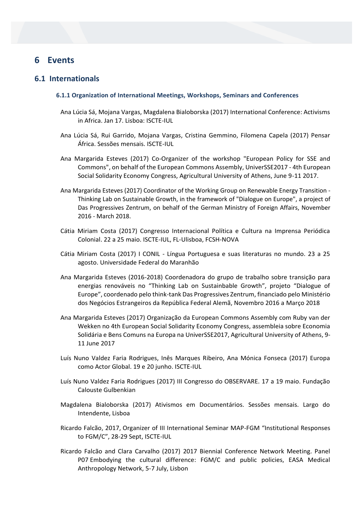# **6 Events**

# **6.1 Internationals**

#### **6.1.1 Organization of International Meetings, Workshops, Seminars and Conferences**

- Ana Lúcia Sá, Mojana Vargas, Magdalena Bialoborska (2017) International Conference: Activisms in Africa. Jan 17. Lisboa: ISCTE-IUL
- Ana Lúcia Sá, Rui Garrido, Mojana Vargas, Cristina Gemmino, Filomena Capela (2017) Pensar África. Sessões mensais. ISCTE-IUL
- Ana Margarida Esteves (2017) Co-Organizer of the workshop "European Policy for SSE and Commons", on behalf of the European Commons Assembly, UniverSSE2017 - 4th European Social Solidarity Economy Congress, Agricultural University of Athens, June 9-11 2017.
- Ana Margarida Esteves (2017) Coordinator of the Working Group on Renewable Energy Transition Thinking Lab on Sustainable Growth, in the framework of "Dialogue on Europe", a project of Das Progressives Zentrum, on behalf of the German Ministry of Foreign Affairs, November 2016 - March 2018.
- Cátia Miriam Costa (2017) Congresso Internacional Política e Cultura na Imprensa Periódica Colonial. 22 a 25 maio. ISCTE-IUL, FL-Ulisboa, FCSH-NOVA
- Cátia Miriam Costa (2017) I CONIL Língua Portuguesa e suas literaturas no mundo. 23 a 25 agosto. Universidade Federal do Maranhão
- Ana Margarida Esteves (2016-2018) Coordenadora do grupo de trabalho sobre transição para energias renováveis no "Thinking Lab on Sustainbable Growth", projeto "Dialogue of Europe", coordenado pelo think-tank Das Progressives Zentrum, financiado pelo Ministério dos Negócios Estrangeiros da República Federal Alemã, Novembro 2016 a Março 2018
- Ana Margarida Esteves (2017) Organização da European Commons Assembly com Ruby van der Wekken no 4th European Social Solidarity Economy Congress, assembleia sobre Economia Solidária e Bens Comuns na Europa na UniverSSE2017, Agricultural University of Athens, 9- 11 June 2017
- Luís Nuno Valdez Faria Rodrigues, Inês Marques Ribeiro, Ana Mónica Fonseca (2017) Europa como Actor Global. 19 e 20 junho. ISCTE-IUL
- Luís Nuno Valdez Faria Rodrigues (2017) III Congresso do OBSERVARE. 17 a 19 maio. Fundação Calouste Gulbenkian
- Magdalena Bialoborska (2017) Ativismos em Documentários. Sessões mensais. Largo do Intendente, Lisboa
- Ricardo Falcão, 2017, Organizer of III International Seminar MAP-FGM "Institutional Responses to FGM/C", 28-29 Sept, ISCTE-IUL
- Ricardo Falcão and Clara Carvalho (2017) 2017 Biennial Conference Network Meeting. Panel P07 Embodying the cultural difference: FGM/C and public policies, EASA Medical Anthropology Network, 5-7 July, Lisbon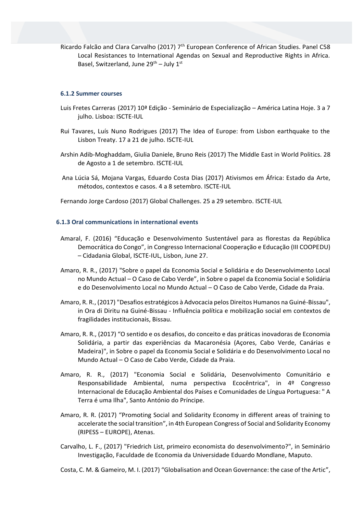Ricardo Falcão and Clara Carvalho (2017) 7<sup>th</sup> European Conference of African Studies. Panel C58 Local Resistances to International Agendas on Sexual and Reproductive Rights in Africa. Basel, Switzerland, June  $29^{th}$  – July  $1^{st}$ 

#### **6.1.2 Summer courses**

- Luis Fretes Carreras (2017) 10ª Edição Seminário de Especialização América Latina Hoje. 3 a 7 julho. Lisboa: ISCTE-IUL
- Rui Tavares, Luís Nuno Rodrigues (2017) The Idea of Europe: from Lisbon earthquake to the Lisbon Treaty. 17 a 21 de julho. ISCTE-IUL
- Arshin Adib-Moghaddam, Giulia Daniele, Bruno Reis (2017) The Middle East in World Politics. 28 de Agosto a 1 de setembro. ISCTE-IUL
- Ana Lúcia Sá, Mojana Vargas, Eduardo Costa Dias (2017) Ativismos em África: Estado da Arte, métodos, contextos e casos. 4 a 8 setembro. ISCTE-IUL

Fernando Jorge Cardoso (2017) Global Challenges. 25 a 29 setembro. ISCTE-IUL

#### **6.1.3 Oral communications in international events**

- Amaral, F. (2016) "Educação e Desenvolvimento Sustentável para as florestas da República Democrática do Congo", in Congresso Internacional Cooperação e Educação (III COOPEDU) – Cidadania Global, ISCTE-IUL, Lisbon, June 27.
- Amaro, R. R., (2017) "Sobre o papel da Economia Social e Solidária e do Desenvolvimento Local no Mundo Actual – O Caso de Cabo Verde", in Sobre o papel da Economia Social e Solidária e do Desenvolvimento Local no Mundo Actual – O Caso de Cabo Verde, Cidade da Praia.
- Amaro, R. R., (2017) "Desafios estratégicos à Advocacia pelos Direitos Humanos na Guiné-Bissau", in Ora di Diritu na Guiné-Bissau - Influência política e mobilização social em contextos de fragilidades institucionais, Bissau.
- Amaro, R. R., (2017) "O sentido e os desafios, do conceito e das práticas inovadoras de Economia Solidária, a partir das experiências da Macaronésia (Açores, Cabo Verde, Canárias e Madeira)", in Sobre o papel da Economia Social e Solidária e do Desenvolvimento Local no Mundo Actual – O Caso de Cabo Verde, Cidade da Praia.
- Amaro, R. R., (2017) "Economia Social e Solidária, Desenvolvimento Comunitário e Responsabilidade Ambiental, numa perspectiva Ecocêntrica", in 4º Congresso Internacional de Educação Ambiental dos Países e Comunidades de Língua Portuguesa: " A Terra é uma Ilha", Santo António do Príncipe.
- Amaro, R. R. (2017) "Promoting Social and Solidarity Economy in different areas of training to accelerate the social transition", in 4th European Congress of Social and Solidarity Economy (RIPESS – EUROPE), Atenas.
- Carvalho, L. F., (2017) "Friedrich List, primeiro economista do desenvolvimento?", in Seminário Investigação, Faculdade de Economia da Universidade Eduardo Mondlane, Maputo.
- Costa, C. M. & Gameiro, M. I. (2017) "Globalisation and Ocean Governance: the case of the Artic",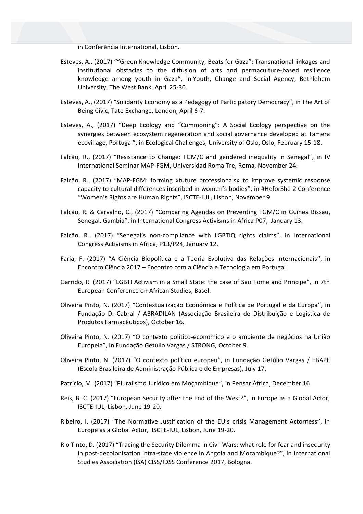in Conferência International, Lisbon.

- Esteves, A., (2017) ""Green Knowledge Community, Beats for Gaza": Transnational linkages and institutional obstacles to the diffusion of arts and permaculture-based resilience knowledge among youth in Gaza", in Youth, Change and Social Agency, Bethlehem University, The West Bank, April 25-30.
- Esteves, A., (2017) "Solidarity Economy as a Pedagogy of Participatory Democracy", in The Art of Being Civic, Tate Exchange, London, April 6-7.
- Esteves, A., (2017) "Deep Ecology and "Commoning": A Social Ecology perspective on the synergies between ecosystem regeneration and social governance developed at Tamera ecovillage, Portugal", in Ecological Challenges, University of Oslo, Oslo, February 15-18.
- Falcão, R., (2017) "Resistance to Change: FGM/C and gendered inequality in Senegal", in IV International Seminar MAP-FGM, Universidad Roma Tre, Roma, November 24.
- Falcão, R., (2017) "MAP-FGM: forming «future professionals» to improve systemic response capacity to cultural differences inscribed in women's bodies", in #HeforShe 2 Conference "Women's Rights are Human Rights", ISCTE-IUL, Lisbon, November 9.
- Falcão, R. & Carvalho, C., (2017) "Comparing Agendas on Preventing FGM/C in Guinea Bissau, Senegal, Gambia", in International Congress Activisms in Africa P07, January 13.
- Falcão, R., (2017) "Senegal's non-compliance with LGBTIQ rights claims", in International Congress Activisms in Africa, P13/P24, January 12.
- Faria, F. (2017) "A Ciência Biopolítica e a Teoria Evolutiva das Relações Internacionais", in Encontro Ciência 2017 – Encontro com a Ciência e Tecnologia em Portugal.
- Garrido, R. (2017) "LGBTI Activism in a Small State: the case of Sao Tome and Principe", in 7th European Conference on African Studies, Basel.
- Oliveira Pinto, N. (2017) "Contextualização Económica e Política de Portugal e da Europa", in Fundação D. Cabral / ABRADILAN (Associação Brasileira de Distribuição e Logística de Produtos Farmacêuticos), October 16.
- Oliveira Pinto, N. (2017) "O contexto político-económico e o ambiente de negócios na União Europeia", in Fundação Getúlio Vargas / STRONG, October 9.
- Oliveira Pinto, N. (2017) "O contexto político europeu", in Fundação Getúlio Vargas / EBAPE (Escola Brasileira de Administração Pública e de Empresas), July 17.
- Patrício, M. (2017) "Pluralismo Jurídico em Moçambique", in Pensar África, December 16.
- Reis, B. C. (2017) "European Security after the End of the West?", in Europe as a Global Actor, ISCTE-IUL, Lisbon, June 19-20.
- Ribeiro, I. (2017) "The Normative Justification of the EU's crisis Management Actorness", in Europe as a Global Actor, ISCTE-IUL, Lisbon, June 19-20.
- Rio Tinto, D. (2017) "Tracing the Security Dilemma in Civil Wars: what role for fear and insecurity in post-decolonisation intra-state violence in Angola and Mozambique?", in International Studies Association (ISA) CISS/IDSS Conference 2017, Bologna.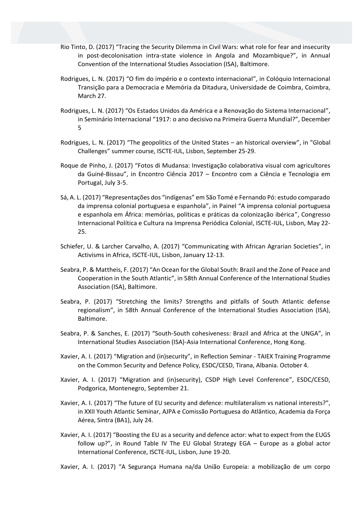- Rio Tinto, D. (2017) "Tracing the Security Dilemma in Civil Wars: what role for fear and insecurity in post-decolonisation intra-state violence in Angola and Mozambique?", in Annual Convention of the International Studies Association (ISA), Baltimore.
- Rodrigues, L. N. (2017) "O fim do império e o contexto internacional", in Colóquio Internacional Transição para a Democracia e Memória da Ditadura, Universidade de Coimbra, Coimbra, March 27.
- Rodrigues, L. N. (2017) "Os Estados Unidos da América e a Renovação do Sistema Internacional", in Seminário Internacional "1917: o ano decisivo na Primeira Guerra Mundial?", December 5
- Rodrigues, L. N. (2017) "The geopolitics of the United States an historical overview", in "Global Challenges" summer course, ISCTE-IUL, Lisbon, September 25-29.
- Roque de Pinho, J. (2017) "Fotos di Mudansa: Investigação colaborativa visual com agricultores da Guiné-Bissau", in Encontro Ciência 2017 – Encontro com a Ciência e Tecnologia em Portugal, July 3-5.
- Sá, A. L. (2017) "Representações dos "indígenas" em São Tomé e Fernando Pó: estudo comparado da imprensa colonial portuguesa e espanhola", in Painel "A imprensa colonial portuguesa e espanhola em África: memórias, políticas e práticas da colonização ibérica", Congresso Internacional Política e Cultura na Imprensa Periódica Colonial, ISCTE-IUL, Lisbon, May 22- 25.
- Schiefer, U. & Larcher Carvalho, A. (2017) "Communicating with African Agrarian Societies", in Activisms in Africa, ISCTE-IUL, Lisbon, January 12-13.
- Seabra, P. & Mattheis, F. (2017) "An Ocean for the Global South: Brazil and the Zone of Peace and Cooperation in the South Atlantic", in 58th Annual Conference of the International Studies Association (ISA), Baltimore.
- Seabra, P. (2017) "Stretching the limits? Strengths and pitfalls of South Atlantic defense regionalism", in 58th Annual Conference of the International Studies Association (ISA), Baltimore.
- Seabra, P. & Sanches, E. (2017) "South-South cohesiveness: Brazil and Africa at the UNGA", in International Studies Association (ISA)-Asia International Conference, Hong Kong.
- Xavier, A. I. (2017) "Migration and (in)security", in Reflection Seminar TAIEX Training Programme on the Common Security and Defence Policy, ESDC/CESD, Tirana, Albania. October 4.
- Xavier, A. I. (2017) "Migration and (in)security), CSDP High Level Conference", ESDC/CESD, Podgorica, Montenegro, September 21.
- Xavier, A. I. (2017) "The future of EU security and defence: multilateralism vs national interests?", in XXII Youth Atlantic Seminar, AJPA e Comissão Portuguesa do Atlântico, Academia da Força Aérea, Sintra (BA1), July 24.
- Xavier, A. I. (2017) "Boosting the EU as a security and defence actor: what to expect from the EUGS follow up?", in Round Table IV The EU Global Strategy EGA – Europe as a global actor International Conference, ISCTE-IUL, Lisbon, June 19-20.

Xavier, A. I. (2017) "A Segurança Humana na/da União Europeia: a mobilização de um corpo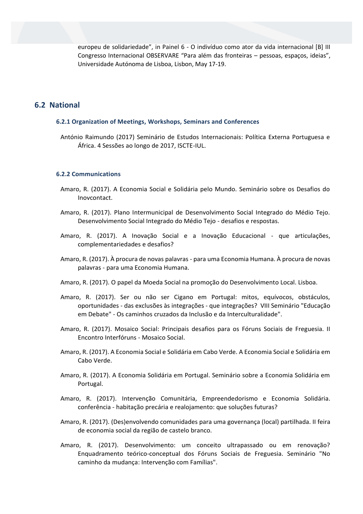europeu de solidariedade", in Painel 6 - O indivíduo como ator da vida internacional [B] III Congresso Internacional OBSERVARE "Para além das fronteiras – pessoas, espaços, ideias", Universidade Autónoma de Lisboa, Lisbon, May 17-19.

# **6.2 National**

#### **6.2.1 Organization of Meetings, Workshops, Seminars and Conferences**

António Raimundo (2017) Seminário de Estudos Internacionais: Política Externa Portuguesa e África. 4 Sessões ao longo de 2017, ISCTE-IUL.

#### **6.2.2 Communications**

- Amaro, R. (2017). A Economia Social e Solidária pelo Mundo. Seminário sobre os Desafios do Inovcontact.
- Amaro, R. (2017). Plano Intermunicipal de Desenvolvimento Social Integrado do Médio Tejo. Desenvolvimento Social Integrado do Médio Tejo - desafios e respostas.
- Amaro, R. (2017). A Inovação Social e a Inovação Educacional que articulações, complementariedades e desafios?
- Amaro, R. (2017). À procura de novas palavras para uma Economia Humana. À procura de novas palavras - para uma Economia Humana.
- Amaro, R. (2017). O papel da Moeda Social na promoção do Desenvolvimento Local. Lisboa.
- Amaro, R. (2017). Ser ou não ser Cigano em Portugal: mitos, equívocos, obstáculos, oportunidades - das exclusões às integrações - que integrações? VIII Seminário "Educação em Debate" - Os caminhos cruzados da Inclusão e da Interculturalidade".
- Amaro, R. (2017). Mosaico Social: Principais desafios para os Fóruns Sociais de Freguesia. II Encontro Interfóruns - Mosaico Social.
- Amaro, R. (2017). A Economia Social e Solidária em Cabo Verde. A Economia Social e Solidária em Cabo Verde.
- Amaro, R. (2017). A Economia Solidária em Portugal. Seminário sobre a Economia Solidária em Portugal.
- Amaro, R. (2017). Intervenção Comunitária, Empreendedorismo e Economia Solidária. conferência - habitação precária e realojamento: que soluções futuras?
- Amaro, R. (2017). (Des)envolvendo comunidades para uma governança (local) partilhada. II feira de economia social da região de castelo branco.
- Amaro, R. (2017). Desenvolvimento: um conceito ultrapassado ou em renovação? Enquadramento teórico-conceptual dos Fóruns Sociais de Freguesia. Seminário "No caminho da mudança: Intervenção com Famílias".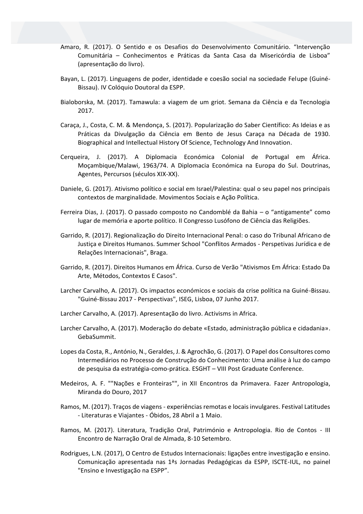- Amaro, R. (2017). O Sentido e os Desafios do Desenvolvimento Comunitário. "Intervenção Comunitária – Conhecimentos e Práticas da Santa Casa da Misericórdia de Lisboa" (apresentação do livro).
- Bayan, L. (2017). Linguagens de poder, identidade e coesão social na sociedade Felupe (Guiné-Bissau). IV Colóquio Doutoral da ESPP.
- Bialoborska, M. (2017). Tamawula: a viagem de um griot. Semana da Ciência e da Tecnologia 2017.
- Caraça, J., Costa, C. M. & Mendonça, S. (2017). Popularização do Saber Científico: As Ideias e as Práticas da Divulgação da Ciência em Bento de Jesus Caraça na Década de 1930. Biographical and Intellectual History Of Science, Technology And Innovation.
- Cerqueira, J. (2017). A Diplomacia Económica Colonial de Portugal em África. Moçambique/Malawi, 1963/74. A Diplomacia Económica na Europa do Sul. Doutrinas, Agentes, Percursos (séculos XIX-XX).
- Daniele, G. (2017). Ativismo político e social em Israel/Palestina: qual o seu papel nos principais contextos de marginalidade. Movimentos Sociais e Ação Política.
- Ferreira Dias, J. (2017). O passado composto no Candomblé da Bahia o "antigamente" como lugar de memória e aporte político. II Congresso Lusófono de Ciência das Religiões.
- Garrido, R. (2017). Regionalização do Direito Internacional Penal: o caso do Tribunal Africano de Justiça e Direitos Humanos. Summer School "Conflitos Armados - Perspetivas Jurídica e de Relações Internacionais", Braga.
- Garrido, R. (2017). Direitos Humanos em África. Curso de Verão "Ativismos Em África: Estado Da Arte, Métodos, Contextos E Casos".
- Larcher Carvalho, A. (2017). Os impactos económicos e sociais da crise política na Guiné-Bissau. "Guiné-Bissau 2017 - Perspectivas", ISEG, Lisboa, 07 Junho 2017.
- Larcher Carvalho, A. (2017). Apresentação do livro. Activisms in Africa.
- Larcher Carvalho, A. (2017). Moderação do debate «Estado, administração pública e cidadania». GebaSummit.
- Lopes da Costa, R., António, N., Geraldes, J. & Agrochão, G. (2017). O Papel dos Consultores como Intermediários no Processo de Construção do Conhecimento: Uma análise à luz do campo de pesquisa da estratégia-como-prática. ESGHT – VIII Post Graduate Conference.
- Medeiros, A. F. ""Nações e Fronteiras"", in XII Encontros da Primavera. Fazer Antropologia, Miranda do Douro, 2017
- Ramos, M. (2017). Traços de viagens experiências remotas e locais invulgares. Festival Latitudes - Literaturas e Viajantes - Óbidos, 28 Abril a 1 Maio.
- Ramos, M. (2017). Literatura, Tradição Oral, Património e Antropologia. Rio de Contos III Encontro de Narração Oral de Almada, 8-10 Setembro.
- Rodrigues, L.N. (2017), O Centro de Estudos Internacionais: ligações entre investigação e ensino. Comunicação apresentada nas 1ªs Jornadas Pedagógicas da ESPP, ISCTE-IUL, no painel "Ensino e Investigação na ESPP".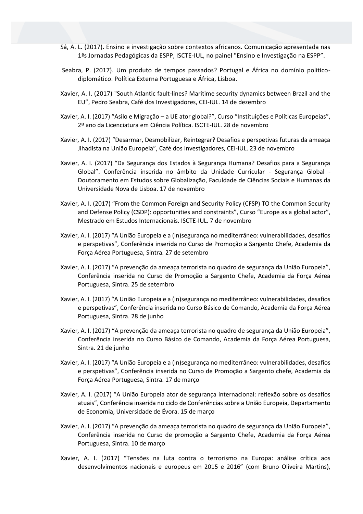- Sá, A. L. (2017). Ensino e investigação sobre contextos africanos. Comunicação apresentada nas 1ªs Jornadas Pedagógicas da ESPP, ISCTE-IUL, no painel "Ensino e Investigação na ESPP".
- Seabra, P. (2017). Um produto de tempos passados? Portugal e África no domínio politicodiplomático. Política Externa Portuguesa e África, Lisboa.
- Xavier, A. I. (2017) "South Atlantic fault-lines? Maritime security dynamics between Brazil and the EU", Pedro Seabra, Café dos Investigadores, CEI-IUL. 14 de dezembro
- Xavier, A. I. (2017) "Asilo e Migração a UE ator global?", Curso "Instituições e Políticas Europeias", 2º ano da Licenciatura em Ciência Política. ISCTE-IUL. 28 de novembro
- Xavier, A. I. (2017) "Desarmar, Desmobilizar, Reintegrar? Desafios e perspetivas futuras da ameaça Jihadista na União Europeia", Café dos Investigadores, CEI-IUL. 23 de novembro
- Xavier, A. I. (2017) "Da Segurança dos Estados à Segurança Humana? Desafios para a Segurança Global". Conferência inserida no âmbito da Unidade Curricular - Segurança Global - Doutoramento em Estudos sobre Globalização, Faculdade de Ciências Sociais e Humanas da Universidade Nova de Lisboa. 17 de novembro
- Xavier, A. I. (2017) "From the Common Foreign and Security Policy (CFSP) TO the Common Security and Defense Policy (CSDP): opportunities and constraints", Curso "Europe as a global actor", Mestrado em Estudos Internacionais. ISCTE-IUL. 7 de novembro
- Xavier, A. I. (2017) "A União Europeia e a (in)segurança no mediterrâneo: vulnerabilidades, desafios e perspetivas", Conferência inserida no Curso de Promoção a Sargento Chefe, Academia da Força Aérea Portuguesa, Sintra. 27 de setembro
- Xavier, A. I. (2017) "A prevenção da ameaça terrorista no quadro de segurança da União Europeia", Conferência inserida no Curso de Promoção a Sargento Chefe, Academia da Força Aérea Portuguesa, Sintra. 25 de setembro
- Xavier, A. I. (2017) "A União Europeia e a (in)segurança no mediterrâneo: vulnerabilidades, desafios e perspetivas", Conferência inserida no Curso Básico de Comando, Academia da Força Aérea Portuguesa, Sintra. 28 de junho
- Xavier, A. I. (2017) "A prevenção da ameaça terrorista no quadro de segurança da União Europeia", Conferência inserida no Curso Básico de Comando, Academia da Força Aérea Portuguesa, Sintra. 21 de junho
- Xavier, A. I. (2017) "A União Europeia e a (in)segurança no mediterrâneo: vulnerabilidades, desafios e perspetivas", Conferência inserida no Curso de Promoção a Sargento chefe, Academia da Força Aérea Portuguesa, Sintra. 17 de março
- Xavier, A. I. (2017) "A União Europeia ator de segurança internacional: reflexão sobre os desafios atuais", Conferência inserida no ciclo de Conferências sobre a União Europeia, Departamento de Economia, Universidade de Évora. 15 de março
- Xavier, A. I. (2017) "A prevenção da ameaça terrorista no quadro de segurança da União Europeia", Conferência inserida no Curso de promoção a Sargento Chefe, Academia da Força Aérea Portuguesa, Sintra. 10 de março
- Xavier, A. I. (2017) "Tensões na luta contra o terrorismo na Europa: análise crítica aos desenvolvimentos nacionais e europeus em 2015 e 2016" (com Bruno Oliveira Martins),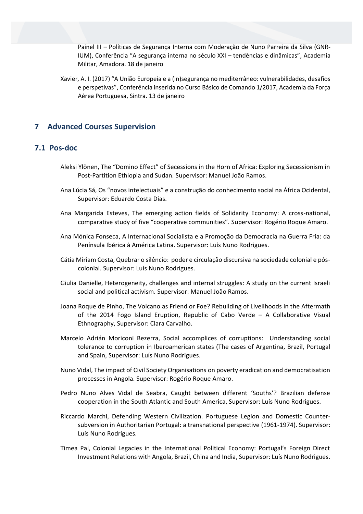Painel III – Políticas de Segurança Interna com Moderação de Nuno Parreira da Silva (GNR-IUM), Conferência "A segurança interna no século XXI – tendências e dinâmicas", Academia Militar, Amadora. 18 de janeiro

Xavier, A. I. (2017) "A União Europeia e a (in)segurança no mediterrâneo: vulnerabilidades, desafios e perspetivas", Conferência inserida no Curso Básico de Comando 1/2017, Academia da Força Aérea Portuguesa, Sintra. 13 de janeiro

# **7 Advanced Courses Supervision**

# **7.1 Pos-doc**

- Aleksi Ylönen, The "Domino Effect" of Secessions in the Horn of Africa: Exploring Secessionism in Post-Partition Ethiopia and Sudan. Supervisor: Manuel João Ramos.
- Ana Lúcia Sá, Os "novos intelectuais" e a construção do conhecimento social na África Ocidental, Supervisor: Eduardo Costa Dias.
- Ana Margarida Esteves, The emerging action fields of Solidarity Economy: A cross-national, comparative study of five "cooperative communities". Supervisor: Rogério Roque Amaro.
- Ana Mónica Fonseca, A Internacional Socialista e a Promoção da Democracia na Guerra Fria: da Península Ibérica à América Latina. Supervisor: Luís Nuno Rodrigues.
- Cátia Miriam Costa, Quebrar o silêncio: poder e circulação discursiva na sociedade colonial e póscolonial. Supervisor: Luís Nuno Rodrigues.
- Giulia Danielle, Heterogeneity, challenges and internal struggles: A study on the current Israeli social and political activism. Supervisor: Manuel João Ramos.
- Joana Roque de Pinho, The Volcano as Friend or Foe? Rebuilding of Livelihoods in the Aftermath of the 2014 Fogo Island Eruption, Republic of Cabo Verde – A Collaborative Visual Ethnography, Supervisor: Clara Carvalho.
- Marcelo Adrián Moriconi Bezerra, Social accomplices of corruptions: Understanding social tolerance to corruption in Iberoamerican states (The cases of Argentina, Brazil, Portugal and Spain, Supervisor: Luís Nuno Rodrigues.
- Nuno Vidal, The impact of Civil Society Organisations on poverty eradication and democratisation processes in Angola. Supervisor: Rogério Roque Amaro.
- Pedro Nuno Alves Vidal de Seabra, Caught between different 'Souths'? Brazilian defense cooperation in the South Atlantic and South America, Supervisor: Luís Nuno Rodrigues.
- Riccardo Marchi, Defending Western Civilization. Portuguese Legion and Domestic Countersubversion in Authoritarian Portugal: a transnational perspective (1961-1974). Supervisor: Luís Nuno Rodrigues.
- Timea Pal, Colonial Legacies in the International Political Economy: Portugal's Foreign Direct Investment Relations with Angola, Brazil, China and India, Supervisor: Luís Nuno Rodrigues.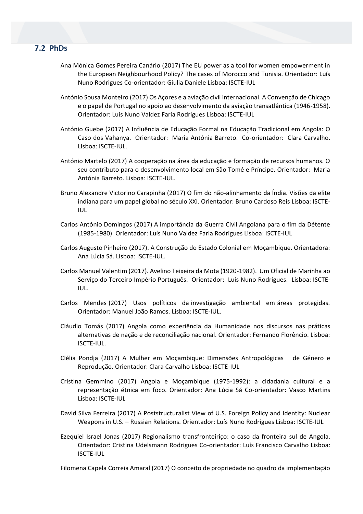# **7.2 PhDs**

- Ana Mónica Gomes Pereira Canário (2017) The EU power as a tool for women empowerment in the European Neighbourhood Policy? The cases of Morocco and Tunisia. Orientador: Luís Nuno Rodrigues Co-orientador: Giulia Daniele Lisboa: ISCTE-IUL
- António Sousa Monteiro (2017) Os Açores e a aviação civil internacional. A Convenção de Chicago e o papel de Portugal no apoio ao desenvolvimento da aviação transatlântica (1946-1958). Orientador: Luís Nuno Valdez Faria Rodrigues Lisboa: ISCTE-IUL
- António Guebe (2017) A Influência de Educação Formal na Educação Tradicional em Angola: O Caso dos Vahanya. Orientador: Maria Antónia Barreto. Co-orientador: Clara Carvalho. Lisboa: ISCTE-IUL.
- António Martelo (2017) A cooperação na área da educação e formação de recursos humanos. O seu contributo para o desenvolvimento local em São Tomé e Príncipe. Orientador: Maria Antónia Barreto. Lisboa: ISCTE-IUL.
- Bruno Alexandre Victorino Carapinha (2017) O fim do não-alinhamento da Índia. Visões da elite indiana para um papel global no século XXI. Orientador: Bruno Cardoso Reis Lisboa: ISCTE-IUL
- Carlos António Domingos (2017) A importância da Guerra Civil Angolana para o fim da Détente (1985-1980). Orientador: Luís Nuno Valdez Faria Rodrigues Lisboa: ISCTE-IUL
- Carlos Augusto Pinheiro (2017). A Construção do Estado Colonial em Moçambique. Orientadora: Ana Lúcia Sá. Lisboa: ISCTE-IUL.
- Carlos Manuel Valentim (2017). Avelino Teixeira da Mota (1920-1982). Um Oficial de Marinha ao Serviço do Terceiro Império Português. Orientador: Luis Nuno Rodrigues. Lisboa: ISCTE-IUL.
- Carlos Mendes (2017) Usos políticos da investigação ambiental em áreas protegidas. Orientador: Manuel João Ramos. Lisboa: ISCTE-IUL.
- Cláudio Tomás (2017) Angola como experiência da Humanidade nos discursos nas práticas alternativas de nação e de reconciliação nacional. Orientador: Fernando Florêncio. Lisboa: ISCTE-IUL.
- Clélia Pondja (2017) A Mulher em Moçambique: Dimensões Antropológicas de Género e Reprodução. Orientador: Clara Carvalho Lisboa: ISCTE-IUL
- Cristina Gemmino (2017) Angola e Moçambique (1975-1992): a cidadania cultural e a representação étnica em foco. Orientador: Ana Lúcia Sá Co-orientador: Vasco Martins Lisboa: ISCTE-IUL
- David Silva Ferreira (2017) A Poststructuralist View of U.S. Foreign Policy and Identity: Nuclear Weapons in U.S. – Russian Relations. Orientador: Luís Nuno Rodrigues Lisboa: ISCTE-IUL
- Ezequiel Israel Jonas (2017) Regionalismo transfronteiriço: o caso da fronteira sul de Angola. Orientador: Cristina Udelsmann Rodrigues Co-orientador: Luís Francisco Carvalho Lisboa: ISCTE-IUL

Filomena Capela Correia Amaral (2017) O conceito de propriedade no quadro da implementação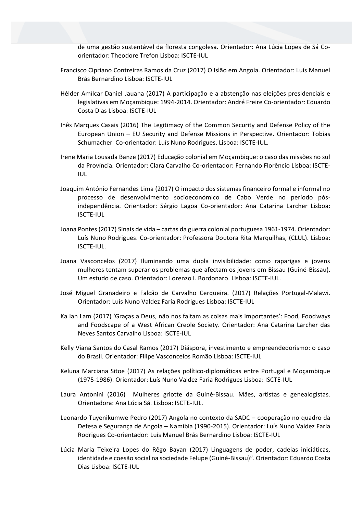de uma gestão sustentável da floresta congolesa. Orientador: Ana Lúcia Lopes de Sá Coorientador: Theodore Trefon Lisboa: ISCTE-IUL

- Francisco Cipriano Contreiras Ramos da Cruz (2017) O Islão em Angola. Orientador: Luís Manuel Brás Bernardino Lisboa: ISCTE-IUL
- Hélder Amílcar Daniel Jauana (2017) A participação e a abstenção nas eleições presidenciais e legislativas em Moçambique: 1994-2014. Orientador: André Freire Co-orientador: Eduardo Costa Dias Lisboa: ISCTE-IUL
- Inês Marques Casais (2016) The Legitimacy of the Common Security and Defense Policy of the European Union – EU Security and Defense Missions in Perspective. Orientador: Tobias Schumacher Co-orientador: Luís Nuno Rodrigues. Lisboa: ISCTE-IUL.
- Irene Maria Lousada Banze (2017) Educação colonial em Moçambique: o caso das missões no sul da Província. Orientador: Clara Carvalho Co-orientador: Fernando Florêncio Lisboa: ISCTE-IUL
- Joaquim António Fernandes Lima (2017) O impacto dos sistemas financeiro formal e informal no processo de desenvolvimento socioeconómico de Cabo Verde no período pósindependência. Orientador: Sérgio Lagoa Co-orientador: Ana Catarina Larcher Lisboa: ISCTE-IUL
- Joana Pontes (2017) Sinais de vida cartas da guerra colonial portuguesa 1961-1974. Orientador: Luís Nuno Rodrigues. Co-orientador: Professora Doutora Rita Marquilhas, (CLUL). Lisboa: ISCTE-IUL.
- Joana Vasconcelos (2017) Iluminando uma dupla invisibilidade: como raparigas e jovens mulheres tentam superar os problemas que afectam os jovens em Bissau (Guiné-Bissau). Um estudo de caso. Orientador: Lorenzo I. Bordonaro. Lisboa: ISCTE-IUL.
- José Miguel Granadeiro e Falcão de Carvalho Cerqueira. (2017) Relações Portugal-Malawi. Orientador: Luís Nuno Valdez Faria Rodrigues Lisboa: ISCTE-IUL
- Ka Ian Lam (2017) 'Graças a Deus, não nos faltam as coisas mais importantes': Food, Foodways and Foodscape of a West African Creole Society. Orientador: Ana Catarina Larcher das Neves Santos Carvalho Lisboa: ISCTE-IUL
- Kelly Viana Santos do Casal Ramos (2017) Diáspora, investimento e empreendedorismo: o caso do Brasil. Orientador: Filipe Vasconcelos Romão Lisboa: ISCTE-IUL
- Keluna Marciana Sitoe (2017) As relações político-diplomáticas entre Portugal e Moçambique (1975-1986). Orientador: Luís Nuno Valdez Faria Rodrigues Lisboa: ISCTE-IUL
- Laura Antonini (2016) Mulheres griotte da Guiné-Bissau. Mães, artistas e genealogistas. Orientadora: Ana Lúcia Sá. Lisboa: ISCTE-IUL.
- Leonardo Tuyenikumwe Pedro (2017) Angola no contexto da SADC cooperação no quadro da Defesa e Segurança de Angola – Namíbia (1990-2015). Orientador: Luís Nuno Valdez Faria Rodrigues Co-orientador: Luís Manuel Brás Bernardino Lisboa: ISCTE-IUL
- Lúcia Maria Teixeira Lopes do Rêgo Bayan (2017) Linguagens de poder, cadeias iniciáticas, identidade e coesão social na sociedade Felupe (Guiné-Bissau)". Orientador: Eduardo Costa Dias Lisboa: ISCTE-IUL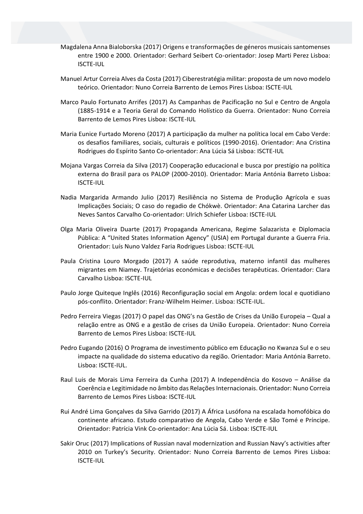- Magdalena Anna Bialoborska (2017) Origens e transformações de géneros musicais santomenses entre 1900 e 2000. Orientador: Gerhard Seibert Co-orientador: Josep Marti Perez Lisboa: ISCTE-IUL
- Manuel Artur Correia Alves da Costa (2017) Ciberestratégia militar: proposta de um novo modelo teórico. Orientador: Nuno Correia Barrento de Lemos Pires Lisboa: ISCTE-IUL
- Marco Paulo Fortunato Arrifes (2017) As Campanhas de Pacificação no Sul e Centro de Angola (1885-1914 e a Teoria Geral do Comando Holístico da Guerra. Orientador: Nuno Correia Barrento de Lemos Pires Lisboa: ISCTE-IUL
- Maria Eunice Furtado Moreno (2017) A participação da mulher na política local em Cabo Verde: os desafios familiares, sociais, culturais e políticos (1990-2016). Orientador: Ana Cristina Rodrigues do Espírito Santo Co-orientador: Ana Lúcia Sá Lisboa: ISCTE-IUL
- Mojana Vargas Correia da Silva (2017) Cooperação educacional e busca por prestígio na política externa do Brasil para os PALOP (2000-2010). Orientador: Maria Antónia Barreto Lisboa: ISCTE-IUL
- Nadia Margarida Armando Julio (2017) Resiliência no Sistema de Produção Agrícola e suas Implicações Sociais; O caso do regadio de Chókwè. Orientador: Ana Catarina Larcher das Neves Santos Carvalho Co-orientador: Ulrich Schiefer Lisboa: ISCTE-IUL
- Olga Maria Oliveira Duarte (2017) Propaganda Americana, Regime Salazarista e Diplomacia Pública: A "United States Information Agency" (USIA) em Portugal durante a Guerra Fria. Orientador: Luís Nuno Valdez Faria Rodrigues Lisboa: ISCTE-IUL
- Paula Cristina Louro Morgado (2017) A saúde reprodutiva, materno infantil das mulheres migrantes em Niamey. Trajetórias económicas e decisões terapêuticas. Orientador: Clara Carvalho Lisboa: ISCTE-IUL
- Paulo Jorge Quiteque Inglês (2016) Reconfiguração social em Angola: ordem local e quotidiano pós-conflito. Orientador: Franz-Wilhelm Heimer. Lisboa: ISCTE-IUL.
- Pedro Ferreira Viegas (2017) O papel das ONG's na Gestão de Crises da União Europeia Qual a relação entre as ONG e a gestão de crises da União Europeia. Orientador: Nuno Correia Barrento de Lemos Pires Lisboa: ISCTE-IUL
- Pedro Eugando (2016) O Programa de investimento público em Educação no Kwanza Sul e o seu impacte na qualidade do sistema educativo da região. Orientador: Maria Antónia Barreto. Lisboa: ISCTE-IUL.
- Raul Luis de Morais Lima Ferreira da Cunha (2017) A Independência do Kosovo Análise da Coerência e Legitimidade no âmbito das Relações Internacionais. Orientador: Nuno Correia Barrento de Lemos Pires Lisboa: ISCTE-IUL
- Rui André Lima Gonçalves da Silva Garrido (2017) A África Lusófona na escalada homofóbica do continente africano. Estudo comparativo de Angola, Cabo Verde e São Tomé e Príncipe. Orientador: Patrícia Vink Co-orientador: Ana Lúcia Sá. Lisboa: ISCTE-IUL
- Sakir Oruc (2017) Implications of Russian naval modernization and Russian Navy's activities after 2010 on Turkey's Security. Orientador: Nuno Correia Barrento de Lemos Pires Lisboa: ISCTE-IUL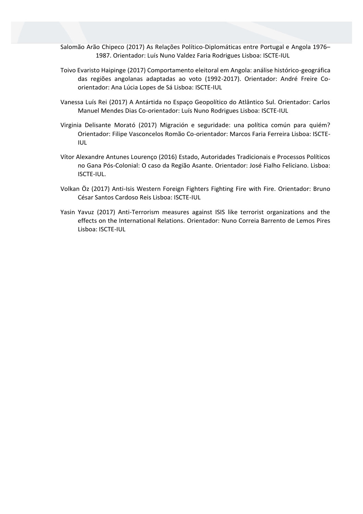- Salomão Arão Chipeco (2017) As Relações Político-Diplomáticas entre Portugal e Angola 1976– 1987. Orientador: Luís Nuno Valdez Faria Rodrigues Lisboa: ISCTE-IUL
- Toivo Evaristo Haipinge (2017) Comportamento eleitoral em Angola: análise histórico-geográfica das regiões angolanas adaptadas ao voto (1992-2017). Orientador: André Freire Coorientador: Ana Lúcia Lopes de Sá Lisboa: ISCTE-IUL
- Vanessa Luís Rei (2017) A Antártida no Espaço Geopolítico do Atlântico Sul. Orientador: Carlos Manuel Mendes Dias Co-orientador: Luís Nuno Rodrigues Lisboa: ISCTE-IUL
- Virginia Delisante Morató (2017) Migración e seguridade: una política común para quiém? Orientador: Filipe Vasconcelos Romão Co-orientador: Marcos Faria Ferreira Lisboa: ISCTE-IUL
- Vítor Alexandre Antunes Lourenço (2016) Estado, Autoridades Tradicionais e Processos Políticos no Gana Pós-Colonial: O caso da Região Asante. Orientador: José Fialho Feliciano. Lisboa: ISCTE-IUL.
- Volkan Öz (2017) Anti-Isis Western Foreign Fighters Fighting Fire with Fire. Orientador: Bruno César Santos Cardoso Reis Lisboa: ISCTE-IUL
- Yasin Yavuz (2017) Anti-Terrorism measures against ISIS like terrorist organizations and the effects on the International Relations. Orientador: Nuno Correia Barrento de Lemos Pires Lisboa: ISCTE-IUL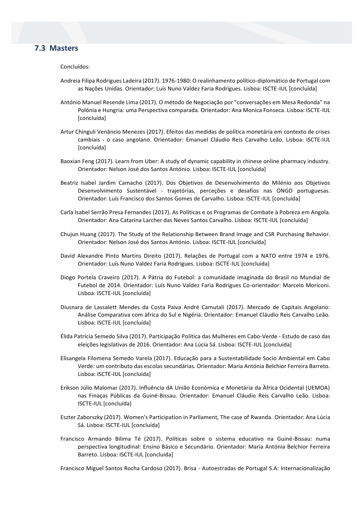# **7.3 Masters**

Concluídos:

- Andreia Filipa Rodrigues Ladeira (2017). 1976-1980: O realinhamento político-diplomático de Portugal com as Nações Unidas. Orientador: Luís Nuno Valdez Faria Rodrigues. Lisboa: ISCTE-IUL [concluída]
- António Manuel Resende Lima (2017). O método de Negociação por "conversações em Mesa Redonda" na Polónia e Hungria: uma Perspectiva comparada. Orientador: Ana Monica Fonseca. Lisboa: ISCTE-IUL [concluída]
- Artur Chinguli Venâncio Menezes (2017). Efeitos das medidas de política monetária em contexto de crises cambiais - o caso angolano. Orientador: Emanuel Cláudio Reis Carvalho Leão. Lisboa: ISCTE-IUL [concluída]
- Baoxian Feng (2017). Learn from Uber: A study of dynamic capability in chinese online pharmacy industry. Orientador: Nelson José dos Santos António. Lisboa: ISCTE-IUL [concluída]
- Beatriz Isabel Jardim Camacho (2017). Dos Objetivos de Desenvolvimento do Milénio aos Objetivos Desenvolvimento Sustentável - trajetórias, perceções e desafios nas ONGD portuguesas. Orientador: Luís Francisco dos Santos Gomes de Carvalho. Lisboa: ISCTE-IUL [concluída]
- Carla Isabel Serrão Presa Fernandes (2017). As Políticas e os Programas de Combate à Pobreza em Angola. Orientador: Ana Catarina Larcher das Neves Santos Carvalho. Lisboa: ISCTE-IUL [concluída]
- Chujun Huang (2017). The Study of the Relationship Between Brand Image and CSR Purchasing Behavior. Orientador: Nelson José dos Santos António. Lisboa: ISCTE-IUL [concluída]
- David Alexandre Pinto Martins Direito (2017). Relações de Portugal com a NATO entre 1974 e 1976. Orientador: Luís Nuno Valdez Faria Rodrigues. Lisboa: ISCTE-IUL [concluída]
- Diogo Portela Craveiro (2017). A Pátria do Futebol: a comunidade imaginada do Brasil no Mundial de Futebol de 2014. Orientador: Luís Nuno Valdez Faria Rodrigues Co-orientador: Marcelo Moriconi. Lisboa: ISCTE-IUL [concluída]
- Diusnara de Lassalett Mendes da Costa Paiva André Camutali (2017). Mercado de Capitais Angolano: Análise Comparativa com àfrica do Sul e Nigéria. Orientador: Emanuel Cláudio Reis Carvalho Leão. Lisboa: ISCTE-IUL [concluída]
- Élida Patrícia Semedo Silva (2017). Participação Política das Mulheres em Cabo-Verde Estudo de caso das eleições legislativas de 2016. Orientador: Ana Lúcia Sá. Lisboa: ISCTE-IUL [concluída]
- Elisangela Filomena Semedo Varela (2017). Educação para a Sustentabilidade Socio Ambiental em Cabo Verde: um contributo das escolas secundárias. Orientador: Maria Antónia Belchior Ferreira Barreto. Lisboa: ISCTE-IUL [concluída]
- Erikson Júlio Malomar (2017). Influência dA União Económica e Monetária da Àfrica Ocidental (UEMOA) nas Finaças Públicas da Guiné-Bissau. Orientador: Emanuel Cláudio Reis Carvalho Leão. Lisboa: ISCTE-IUL [concluída]
- Eszter Zaborszky (2017). Women's Participation in Parliament, The case of Rwanda. Orientador: Ana Lúcia Sá. Lisboa: ISCTE-IUL [concluída]
- Francisco Armando Bilima Té (2017). Políticas sobre o sistema educativo na Guiné-Bissau: numa perspectiva longitudinal: Ensino Básico e Secundário. Orientador: Maria Antónia Belchior Ferreira Barreto. Lisboa: ISCTE-IUL [concluída]

Francisco Miguel Santos Rocha Cardoso (2017). Brisa - Autoestradas de Portugal S.A: Internacionalização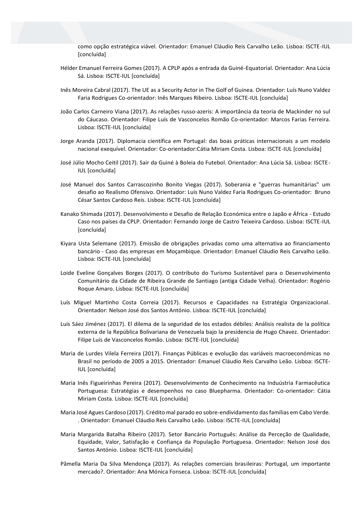como opção estratégica viável. Orientador: Emanuel Cláudio Reis Carvalho Leão. Lisboa: ISCTE-IUL [concluída]

- Hélder Emanuel Ferreira Gomes (2017). A CPLP após a entrada da Guiné-Equatorial. Orientador: Ana Lúcia Sá. Lisboa: ISCTE-IUL [concluída]
- Inês Moreira Cabral (2017). The UE as a Security Actor in The Golf of Guinea. Orientador: Luís Nuno Valdez Faria Rodrigues Co-orientador: Inês Marques Ribeiro. Lisboa: ISCTE-IUL [concluída]
- João Carlos Carneiro Viana (2017). As relações russo-azeris: A importância da teoria de Mackinder no sul do Cáucaso. Orientador: Filipe Luís de Vasconcelos Romão Co-orientador: Marcos Farias Ferreira. Lisboa: ISCTE-IUL [concluída]
- Jorge Aranda (2017). Diplomacia científica em Portugal: das boas práticas internacionais a um modelo nacional exequível. Orientador: Co-orientador:Cátia Miriam Costa. Lisboa: ISCTE-IUL [concluída]
- José Júlio Mocho Ceitil (2017). Sair da Guiné à Boleia do Futebol. Orientador: Ana Lúcia Sá. Lisboa: ISCTE-IUL [concluída]
- José Manuel dos Santos Carrascozinho Bonito Viegas (2017). Soberania e "guerras humanitárias" um desafio ao Realismo Ofensivo. Orientador: Luís Nuno Valdez Faria Rodrigues Co-orientador: Bruno César Santos Cardoso Reis. Lisboa: ISCTE-IUL [concluída]
- Kanako Shimada (2017). Desenvolvimento e Desafio de Relação Económica entre o Japão e África Estudo Caso nos países da CPLP. Orientador: Fernando Jorge de Castro Teixeira Cardoso. Lisboa: ISCTE-IUL [concluída]
- Kiyara Usta Selemane (2017). Emissão de obrigações privadas como uma alternativa ao financiamento bancário - Caso das empresas em Moçambique. Orientador: Emanuel Cláudio Reis Carvalho Leão. Lisboa: ISCTE-IUL [concluída]
- Loide Eveline Gonçalves Borges (2017). O contributo do Turismo Sustentável para o Desenvolvimento Comunitário da Cidade de Ribeira Grande de Santiago (antiga Cidade Velha). Orientador: Rogério Roque Amaro. Lisboa: ISCTE-IUL [concluída]
- Luís Miguel Martinho Costa Correia (2017). Recursos e Capacidades na Estratégia Organizacional. Orientador: Nelson José dos Santos António. Lisboa: ISCTE-IUL [concluída]
- Luis Sáez Jiménez (2017). El dilema de la seguridad de los estados débiles: Análisis realista de la política externa de la República Bolivariana de Venezuela bajo la presidencia de Hugo Chavez. Orientador: Filipe Luís de Vasconcelos Romão. Lisboa: ISCTE-IUL [concluída]
- Maria de Lurdes Vilela Ferreira (2017). Finanças Públicas e evolução das variáveis macroeconómicas no Brasil no período de 2005 a 2015. Orientador: Emanuel Cláudio Reis Carvalho Leão. Lisboa: ISCTE-IUL [concluída]
- Maria Inês Figueirinhas Pereira (2017). Desenvolvimento de Conhecimento na Induústria Farmacêutica Portuguesa: Estratégias e desempenhos no caso Bluepharma. Orientador: Co-orientador: Cátia Miriam Costa. Lisboa: ISCTE-IUL [concluída]
- Maria José Agues Cardoso (2017). Crédito mal parado eo sobre-endividamento das famílias em Cabo Verde. . Orientador: Emanuel Cláudio Reis Carvalho Leão. Lisboa: ISCTE-IUL [concluída]
- Maria Margarida Batalha Ribeiro (2017). Setor Bancário Português: Análise da Perceção de Qualidade, Equidade, Valor, Satisfação e Confiança da População Portuguesa. Orientador: Nelson José dos Santos António. Lisboa: ISCTE-IUL [concluída]
- Pâmella Maria Da Silva Mendonça (2017). As relações comerciais brasileiras: Portugal, um importante mercado?. Orientador: Ana Mónica Fonseca. Lisboa: ISCTE-IUL [concluída]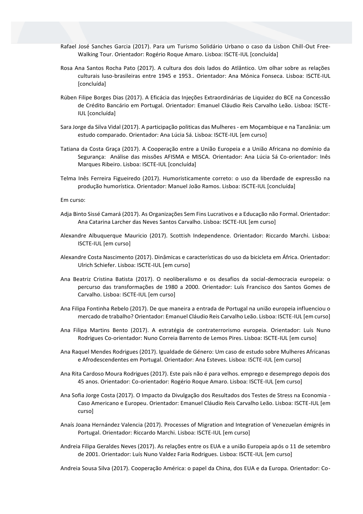- Rafael José Sanches Garcia (2017). Para um Turismo Solidário Urbano o caso da Lisbon Chill-Out Free-Walking Tour. Orientador: Rogério Roque Amaro. Lisboa: ISCTE-IUL [concluída]
- Rosa Ana Santos Rocha Pato (2017). A cultura dos dois lados do Atlântico. Um olhar sobre as relações culturais luso-brasileiras entre 1945 e 1953.. Orientador: Ana Mónica Fonseca. Lisboa: ISCTE-IUL [concluída]
- Rúben Filipe Borges Dias (2017). A Eficácia das Injeções Extraordinárias de Liquidez do BCE na Concessão de Crédito Bancário em Portugal. Orientador: Emanuel Cláudio Reis Carvalho Leão. Lisboa: ISCTE-IUL [concluída]
- Sara Jorge da Silva Vidal (2017). A participação politicas das Mulheres em Moçambique e na Tanzânia: um estudo comparado. Orientador: Ana Lúcia Sá. Lisboa: ISCTE-IUL [em curso]
- Tatiana da Costa Graça (2017). A Cooperação entre a União Europeia e a União Africana no domínio da Segurança: Análise das missões AFISMA e MISCA. Orientador: Ana Lúcia Sá Co-orientador: Inês Marques Ribeiro. Lisboa: ISCTE-IUL [concluída]
- Telma Inês Ferreira Figueiredo (2017). Humoristicamente correto: o uso da liberdade de expressão na produção humorística. Orientador: Manuel João Ramos. Lisboa: ISCTE-IUL [concluída]

#### Em curso:

- Adja Binto Sissé Camará (2017). As Organizações Sem Fins Lucrativos e a Educação não Formal. Orientador: Ana Catarina Larcher das Neves Santos Carvalho. Lisboa: ISCTE-IUL [em curso]
- Alexandre Albuquerque Mauricio (2017). Scottish Independence. Orientador: Riccardo Marchi. Lisboa: ISCTE-IUL [em curso]
- Alexandre Costa Nascimento (2017). Dinâmicas e características do uso da bicicleta em África. Orientador: Ulrich Schiefer. Lisboa: ISCTE-IUL [em curso]
- Ana Beatriz Cristina Batista (2017). O neoliberalismo e os desafios da social-democracia europeia: o percurso das transformações de 1980 a 2000. Orientador: Luís Francisco dos Santos Gomes de Carvalho. Lisboa: ISCTE-IUL [em curso]
- Ana Filipa Fontinha Rebelo (2017). De que maneira a entrada de Portugal na união europeia influenciou o mercado de trabalho? Orientador: Emanuel Cláudio Reis Carvalho Leão. Lisboa: ISCTE-IUL [em curso]
- Ana Filipa Martins Bento (2017). A estratégia de contraterrorismo europeia. Orientador: Luís Nuno Rodrigues Co-orientador: Nuno Correia Barrento de Lemos Pires. Lisboa: ISCTE-IUL [em curso]
- Ana Raquel Mendes Rodrigues (2017). Igualdade de Género: Um caso de estudo sobre Mulheres Africanas e Afrodescendentes em Portugal. Orientador: Ana Esteves. Lisboa: ISCTE-IUL [em curso]
- Ana Rita Cardoso Moura Rodrigues (2017). Este país não é para velhos. emprego e desemprego depois dos 45 anos. Orientador: Co-orientador: Rogério Roque Amaro. Lisboa: ISCTE-IUL [em curso]
- Ana Sofia Jorge Costa (2017). O Impacto da Divulgação dos Resultados dos Testes de Stress na Economia Caso Americano e Europeu. Orientador: Emanuel Cláudio Reis Carvalho Leão. Lisboa: ISCTE-IUL [em curso]
- Anaís Joana Hernández Valencia (2017). Processes of Migration and Integration of Venezuelan émigrés in Portugal. Orientador: Riccardo Marchi. Lisboa: ISCTE-IUL [em curso]
- Andreia Filipa Geraldes Neves (2017). As relações entre os EUA e a união Europeia após o 11 de setembro de 2001. Orientador: Luís Nuno Valdez Faria Rodrigues. Lisboa: ISCTE-IUL [em curso]

Andreia Sousa Silva (2017). Cooperação América: o papel da China, dos EUA e da Europa. Orientador: Co-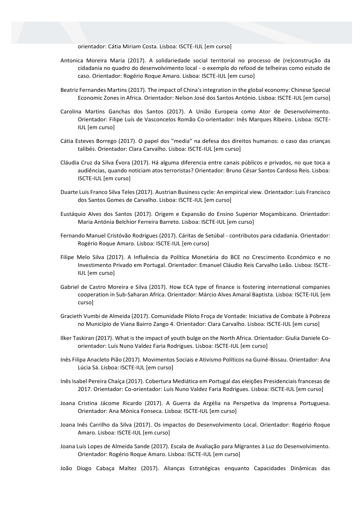orientador: Cátia Miriam Costa. Lisboa: ISCTE-IUL [em curso]

- Antonica Moreira Maria (2017). A solidariedade social territorial no processo de (re)construção da cidadania no quadro do desenvolvimento local - o exemplo do refood de telheiras como estudo de caso. Orientador: Rogério Roque Amaro. Lisboa: ISCTE-IUL [em curso]
- Beatriz Fernandes Martins (2017). The impact of China's integration in the global economy: Chinese Special Economic Zones in Africa. Orientador: Nelson José dos Santos António. Lisboa: ISCTE-IUL [em curso]
- Carolina Martins Ganchas dos Santos (2017). A União Europeia como Ator de Desenvolvimento. Orientador: Filipe Luís de Vasconcelos Romão Co-orientador: Inês Marques Ribeiro. Lisboa: ISCTE-IUL [em curso]
- Cátia Esteves Borrego (2017). O papel dos "media" na defesa dos direitos humanos: o caso das crianças talibés. Orientador: Clara Carvalho. Lisboa: ISCTE-IUL [em curso]
- Cláudia Cruz da Silva Évora (2017). Há alguma diferencia entre canais públicos e privados, no que toca a audiências, quando noticiam atos terroristas? Orientador: Bruno César Santos Cardoso Reis. Lisboa: ISCTE-IUL [em curso]
- Duarte Luís Franco Silva Teles (2017). Austrian Business cycle: An empirical view. Orientador: Luís Francisco dos Santos Gomes de Carvalho. Lisboa: ISCTE-IUL [em curso]
- Eustáquio Alves dos Santos (2017). Origem e Expansão do Ensino Superior Moçambicano. Orientador: Maria Antónia Belchior Ferreira Barreto. Lisboa: ISCTE-IUL [em curso]
- Fernando Manuel Cristóvão Rodrigues (2017). Cáritas de Setúbal contributos para cidadania. Orientador: Rogério Roque Amaro. Lisboa: ISCTE-IUL [em curso]
- Filipe Melo Silva (2017). A Influência da Política Monetária do BCE no Crescimento Económico e no Investimento Privado em Portugal. Orientador: Emanuel Cláudio Reis Carvalho Leão. Lisboa: ISCTE-IUL [em curso]
- Gabriel de Castro Moreira e Silva (2017). How ECA type of finance is fostering international companies cooperation in Sub-Saharan Africa. Orientador: Márcio Alves Amaral Baptista. Lisboa: ISCTE-IUL [em curso]
- Gracieth Vumbi de Almeida (2017). Comunidade Piloto Froça de Vontade: Iniciativa de Combate à Pobreza no Município de Viana Bairro Zango 4. Orientador: Clara Carvalho. Lisboa: ISCTE-IUL [em curso]
- Ilker Taskiran (2017). What is the impact of youth bulge on the North Africa. Orientador: Giulia Daniele Coorientador: Luís Nuno Valdez Faria Rodrigues. Lisboa: ISCTE-IUL [em curso]
- Inês Filipa Anacleto Pião (2017). Movimentos Sociais e Ativismo Políticos na Guiné-Bissau. Orientador: Ana Lúcia Sá. Lisboa: ISCTE-IUL [em curso]
- Inês Isabel Pereira Chaíça (2017). Cobertura Mediática em Portugal das eleições Presidenciais francesas de 2017. Orientador: Co-orientador: Luís Nuno Valdez Faria Rodrigues. Lisboa: ISCTE-IUL [em curso]
- Joana Cristina Jácome Ricardo (2017). A Guerra da Argélia na Perspetiva da Imprensa Portuguesa. Orientador: Ana Mónica Fonseca. Lisboa: ISCTE-IUL [em curso]
- Joana Inês Carrilho da Silva (2017). Os impactos do Desenvolvimento Local. Orientador: Rogério Roque Amaro. Lisboa: ISCTE-IUL [em curso]
- Joana Luís Lopes de Almeida Sande (2017). Escala de Avaliação para Migrantes à Luz do Desenvolvimento. Orientador: Rogério Roque Amaro. Lisboa: ISCTE-IUL [em curso]
- João Diogo Cabaça Maltez (2017). Alianças Estratégicas enquanto Capacidades Dinâmicas das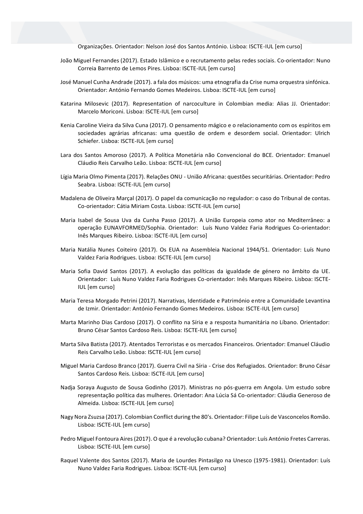Organizações. Orientador: Nelson José dos Santos António. Lisboa: ISCTE-IUL [em curso]

- João Miguel Fernandes (2017). Estado Islâmico e o recrutamento pelas redes sociais. Co-orientador: Nuno Correia Barrento de Lemos Pires. Lisboa: ISCTE-IUL [em curso]
- José Manuel Cunha Andrade (2017). a fala dos músicos: uma etnografia da Crise numa orquestra sinfónica. Orientador: António Fernando Gomes Medeiros. Lisboa: ISCTE-IUL [em curso]
- Katarina Milosevic (2017). Representation of narcoculture in Colombian media: Alias JJ. Orientador: Marcelo Moriconi. Lisboa: ISCTE-IUL [em curso]
- Kenia Caroline Vieira da Silva Cuna (2017). O pensamento mágico e o relacionamento com os espíritos em sociedades agrárias africanas: uma questão de ordem e desordem social. Orientador: Ulrich Schiefer. Lisboa: ISCTE-IUL [em curso]
- Lara dos Santos Amoroso (2017). A Política Monetária não Convencional do BCE. Orientador: Emanuel Cláudio Reis Carvalho Leão. Lisboa: ISCTE-IUL [em curso]
- Lígia Maria Olmo Pimenta (2017). Relações ONU União Africana: questões securitárias. Orientador: Pedro Seabra. Lisboa: ISCTE-IUL [em curso]
- Madalena de Oliveira Marçal (2017). O papel da comunicação no regulador: o caso do Tribunal de contas. Co-orientador: Cátia Miriam Costa. Lisboa: ISCTE-IUL [em curso]
- Maria Isabel de Sousa Uva da Cunha Passo (2017). A União Europeia como ator no Mediterrâneo: a operação EUNAVFORMED/Sophia. Orientador: Luís Nuno Valdez Faria Rodrigues Co-orientador: Inês Marques Ribeiro. Lisboa: ISCTE-IUL [em curso]
- Maria Natália Nunes Coiteiro (2017). Os EUA na Assembleia Nacional 1944/51. Orientador: Luís Nuno Valdez Faria Rodrigues. Lisboa: ISCTE-IUL [em curso]
- Maria Sofia David Santos (2017). A evolução das políticas da igualdade de género no âmbito da UE. Orientador: Luís Nuno Valdez Faria Rodrigues Co-orientador: Inês Marques Ribeiro. Lisboa: ISCTE-IUL [em curso]
- Maria Teresa Morgado Petrini (2017). Narrativas, Identidade e Património entre a Comunidade Levantina de Izmir. Orientador: António Fernando Gomes Medeiros. Lisboa: ISCTE-IUL [em curso]
- Marta Marinho Dias Cardoso (2017). O conflito na Síria e a resposta humanitária no Líbano. Orientador: Bruno César Santos Cardoso Reis. Lisboa: ISCTE-IUL [em curso]
- Marta Silva Batista (2017). Atentados Terroristas e os mercados Financeiros. Orientador: Emanuel Cláudio Reis Carvalho Leão. Lisboa: ISCTE-IUL [em curso]
- Miguel Maria Cardoso Branco (2017). Guerra Civil na Síria Crise dos Refugiados. Orientador: Bruno César Santos Cardoso Reis. Lisboa: ISCTE-IUL [em curso]
- Nadja Soraya Augusto de Sousa Godinho (2017). Ministras no pós-guerra em Angola. Um estudo sobre representação política das mulheres. Orientador: Ana Lúcia Sá Co-orientador: Cláudia Generoso de Almeida. Lisboa: ISCTE-IUL [em curso]
- Nagy Nora Zsuzsa (2017). Colombian Conflict during the 80's. Orientador: Filipe Luís de Vasconcelos Romão. Lisboa: ISCTE-IUL [em curso]
- Pedro Miguel Fontoura Aires (2017). O que é a revolução cubana? Orientador: Luís António Fretes Carreras. Lisboa: ISCTE-IUL [em curso]
- Raquel Valente dos Santos (2017). Maria de Lourdes Pintasilgo na Unesco (1975-1981). Orientador: Luís Nuno Valdez Faria Rodrigues. Lisboa: ISCTE-IUL [em curso]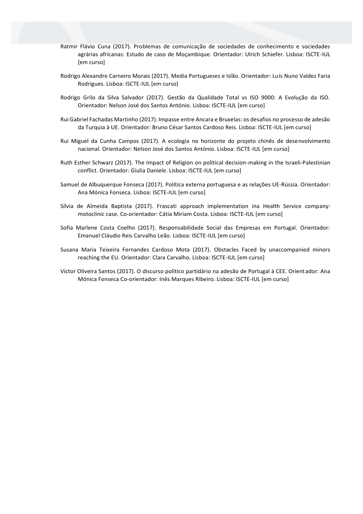- Ratmir Flávio Cuna (2017). Problemas de comunicação de sociedades de conhecimento e sociedades agrárias africanas: Estudo de caso de Moçambique. Orientador: Ulrich Schiefer. Lisboa: ISCTE-IUL [em curso]
- Rodrigo Alexandre Carneiro Morais (2017). Media Portugueses e Islão. Orientador: Luís Nuno Valdez Faria Rodrigues. Lisboa: ISCTE-IUL [em curso]
- Rodrigo Grilo da Silva Salvador (2017). Gestão da Qualidade Total vs ISO 9000: A Evolução da ISO. Orientador: Nelson José dos Santos António. Lisboa: ISCTE-IUL [em curso]
- Rui Gabriel Fachadas Martinho (2017). Impasse entre Ancara e Bruxelas: os desafios no processo de adesão da Turquia à UE. Orientador: Bruno César Santos Cardoso Reis. Lisboa: ISCTE-IUL [em curso]
- Rui Miguel da Cunha Campos (2017). A ecologia no horizonte do projeto chinês de desenvolvimento nacional. Orientador: Nelson José dos Santos António. Lisboa: ISCTE-IUL [em curso]
- Ruth Esther Schwarz (2017). The Impact of Religion on political decision-making in the Israeli-Palestinian conflict. Orientador: Giulia Daniele. Lisboa: ISCTE-IUL [em curso]
- Samuel de Albuquerque Fonseca (2017). Política externa portuguesa e as relações UE-Rússia. Orientador: Ana Mónica Fonseca. Lisboa: ISCTE-IUL [em curso]
- Sílvia de Almeida Baptista (2017). Frascati approach implementation ina Health Service company: motoclinic case. Co-orientador: Cátia Miriam Costa. Lisboa: ISCTE-IUL [em curso]
- Sofia Marlene Costa Coelho (2017). Responsabilidade Social das Empresas em Portugal. Orientador: Emanuel Cláudio Reis Carvalho Leão. Lisboa: ISCTE-IUL [em curso]
- Susana Maria Teixeira Fernandes Cardoso Mota (2017). Obstacles Faced by unaccompanied minors reaching the EU. Orientador: Clara Carvalho. Lisboa: ISCTE-IUL [em curso]
- Victor Oliveira Santos (2017). O discurso político partidário na adesão de Portugal à CEE. Orientador: Ana Mónica Fonseca Co-orientador: Inês Marques Ribeiro. Lisboa: ISCTE-IUL [em curso]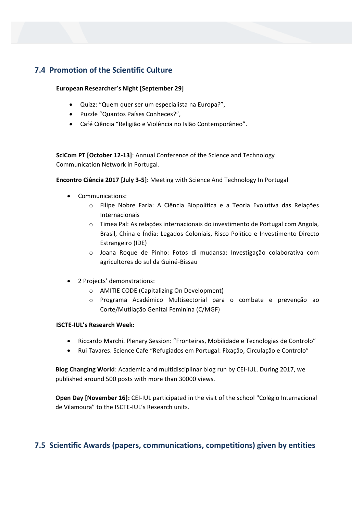# **7.4 Promotion of the Scientific Culture**

## **European Researcher's Night [September 29]**

- Quizz: "Quem quer ser um especialista na Europa?",
- Puzzle "Quantos Países Conheces?",
- Café Ciência "Religião e Violência no Islão Contemporâneo".

**SciCom PT [October 12-13]**: Annual Conference of the Science and Technology Communication Network in Portugal.

**Encontro Ciência 2017 [July 3-5]:** Meeting with Science And Technology In Portugal

- Communications:
	- o Filipe Nobre Faria: A Ciência Biopolítica e a Teoria Evolutiva das Relações Internacionais
	- o Timea Pal: As relações internacionais do investimento de Portugal com Angola, Brasil, China e Índia: Legados Coloniais, Risco Político e Investimento Directo Estrangeiro (IDE)
	- o Joana Roque de Pinho: Fotos di mudansa: Investigação colaborativa com agricultores do sul da Guiné-Bissau
- 2 Projects' demonstrations:
	- o AMITIE CODE (Capitalizing On Development)
	- o Programa Académico Multisectorial para o combate e prevenção ao Corte/Mutilação Genital Feminina (C/MGF)

## **ISCTE-IUL's Research Week:**

- Riccardo Marchi. Plenary Session: "Fronteiras, Mobilidade e Tecnologias de Controlo"
- Rui Tavares. Science Cafe "Refugiados em Portugal: Fixação, Circulação e Controlo"

**Blog Changing World**: Academic and multidisciplinar blog run by CEI-IUL. During 2017, we published around 500 posts with more than 30000 views.

**Open Day [November 16]:** CEI-IUL participated in the visit of the school "Colégio Internacional de Vilamoura" to the ISCTE-IUL's Research units.

# **7.5 Scientific Awards (papers, communications, competitions) given by entities**